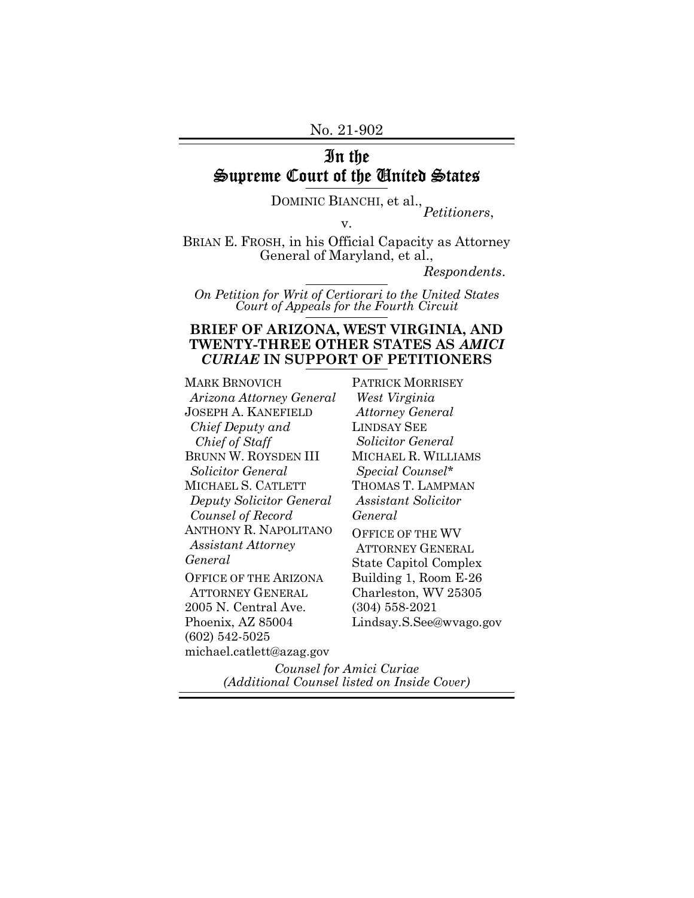No. 21-902

# In the Supreme Court of the United States

DOMINIC BIANCHI, et al., Petitioners, v.

BRIAN E. FROSH, in his Official Capacity as Attorney General of Maryland, et al.,

Respondents.

On Petition for Writ of Certiorari to the United States Court of Appeals for the Fourth Circuit

#### BRIEF OF ARIZONA, WEST VIRGINIA, AND TWENTY-THREE OTHER STATES AS AMICI CURIAE IN SUPPORT OF PETITIONERS

MARK BRNOVICH Arizona Attorney General JOSEPH A. KANEFIELD Chief Deputy and Chief of Staff BRUNN W. ROYSDEN III Solicitor General MICHAEL S. CATLETT Deputy Solicitor General Counsel of Record ANTHONY R. NAPOLITANO Assistant Attorney General OFFICE OF THE ARIZONA ATTORNEY GENERAL 2005 N. Central Ave. Phoenix, AZ 85004 (602) 542-5025 michael.catlett@azag.gov

PATRICK MORRISEY West Virginia Attorney General LINDSAY SEE Solicitor General MICHAEL R. WILLIAMS Special Counsel\* THOMAS T. LAMPMAN Assistant Solicitor General OFFICE OF THE WV ATTORNEY GENERAL State Capitol Complex Building 1, Room E-26 Charleston, WV 25305 (304) 558-2021 Lindsay.S.See@wvago.gov

Counsel for Amici Curiae (Additional Counsel listed on Inside Cover)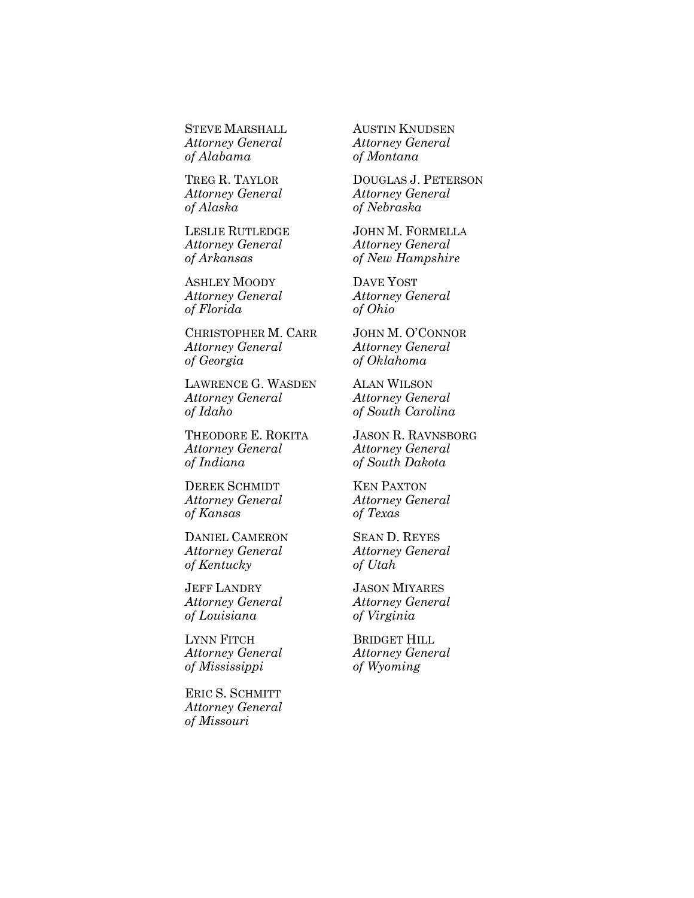STEVE MARSHALL Attorney General of Alabama

TREG R. TAYLOR Attorney General of Alaska

LESLIE RUTLEDGE Attorney General of Arkansas

ASHLEY MOODY Attorney General of Florida

CHRISTOPHER M. CARR Attorney General of Georgia

LAWRENCE G. WASDEN Attorney General of Idaho

THEODORE E. ROKITA Attorney General of Indiana

DEREK SCHMIDT Attorney General of Kansas

DANIEL CAMERON Attorney General of Kentucky

JEFF LANDRY Attorney General of Louisiana

LYNN FITCH Attorney General of Mississippi

ERIC S. SCHMITT Attorney General of Missouri

AUSTIN KNUDSEN Attorney General of Montana

DOUGLAS J. PETERSON Attorney General of Nebraska

JOHN M. FORMELLA Attorney General of New Hampshire

DAVE YOST Attorney General of Ohio

JOHN M. O'CONNOR Attorney General of Oklahoma

ALAN WILSON Attorney General of South Carolina

JASON R. RAVNSBORG Attorney General of South Dakota

KEN PAXTON Attorney General of Texas

SEAN D. REYES Attorney General of Utah

JASON MIYARES Attorney General of Virginia

BRIDGET HILL Attorney General of Wyoming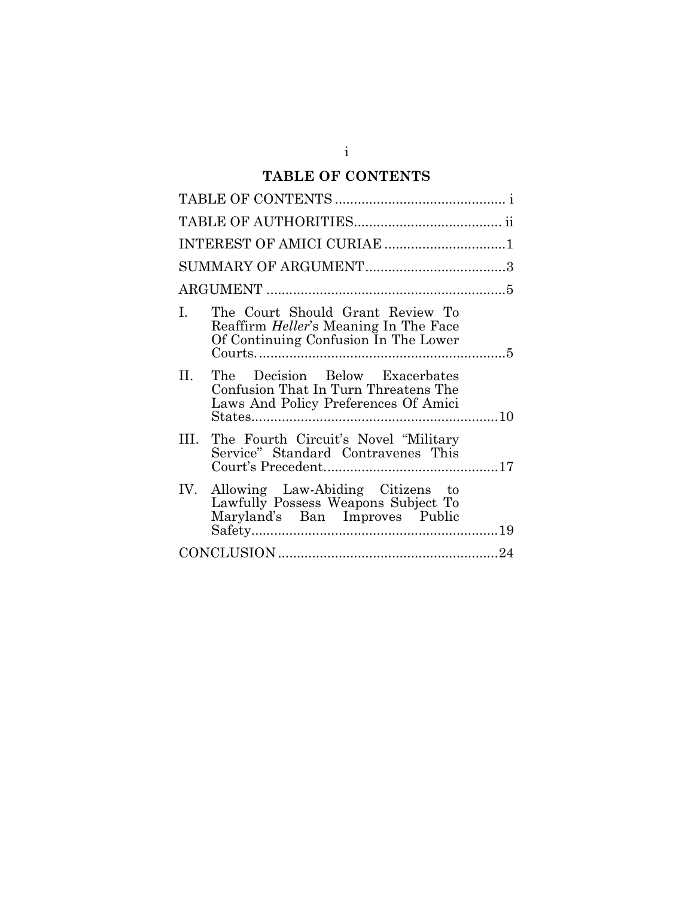# TABLE OF CONTENTS

| INTEREST OF AMICI CURIAE 1                                                                                              |
|-------------------------------------------------------------------------------------------------------------------------|
|                                                                                                                         |
|                                                                                                                         |
| The Court Should Grant Review To<br>L.<br>Reaffirm Heller's Meaning In The Face<br>Of Continuing Confusion In The Lower |
| The Decision Below Exacerbates<br>II.<br>Confusion That In Turn Threatens The<br>Laws And Policy Preferences Of Amici   |
| The Fourth Circuit's Novel "Military"<br>III.<br>Service" Standard Contravenes This                                     |
| IV. Allowing Law-Abiding Citizens to<br>Lawfully Possess Weapons Subject To<br>Maryland's Ban Improves Public           |
|                                                                                                                         |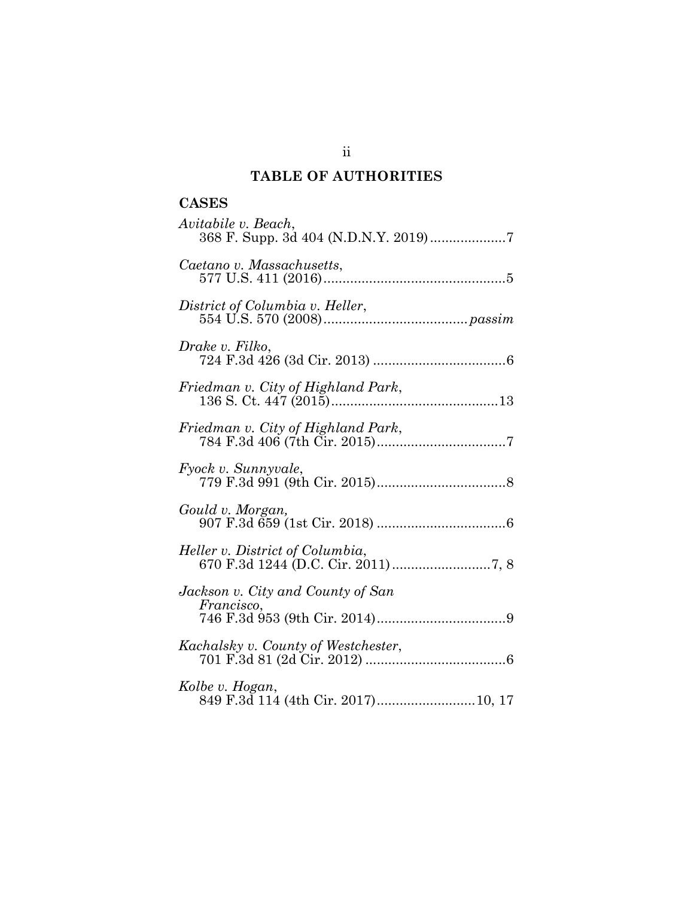# TABLE OF AUTHORITIES

## CASES

| Avitabile v. Beach,<br>368 F. Supp. 3d 404 (N.D.N.Y. 2019)7 |
|-------------------------------------------------------------|
| Caetano v. Massachusetts,                                   |
| District of Columbia v. Heller,                             |
| Drake v. Filko,                                             |
| Friedman v. City of Highland Park,                          |
| Friedman v. City of Highland Park,                          |
| Fyock v. Sunnyvale,                                         |
| Gould v. Morgan,                                            |
| Heller v. District of Columbia,                             |
| Jackson v. City and County of San<br><i>Francisco,</i>      |
| Kachalsky v. County of Westchester,                         |
| Kolbe v. Hogan,                                             |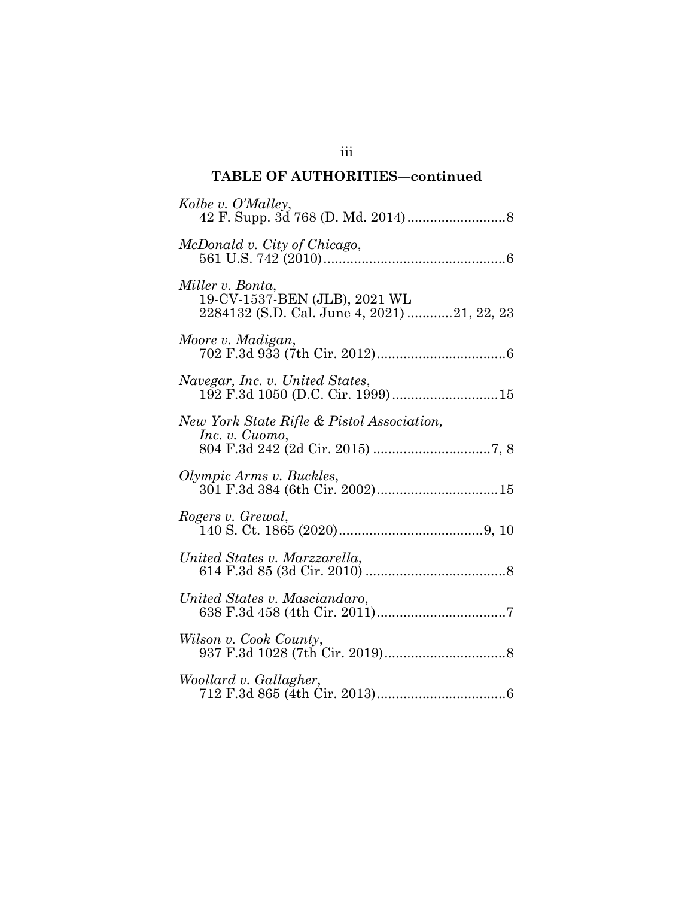| Kolbe v. O'Malley,                                                                               |
|--------------------------------------------------------------------------------------------------|
| McDonald v. City of Chicago,                                                                     |
| Miller v. Bonta,<br>19-CV-1537-BEN (JLB), 2021 WL<br>2284132 (S.D. Cal. June 4, 2021) 21, 22, 23 |
| Moore v. Madigan,                                                                                |
| Navegar, Inc. v. United States,                                                                  |
| New York State Rifle & Pistol Association,<br>Inc. v. Cuomo,                                     |
| Olympic Arms v. Buckles,                                                                         |
| Rogers v. Grewal,                                                                                |
| United States v. Marzzarella,                                                                    |
| United States v. Masciandaro,                                                                    |
| Wilson v. Cook County,                                                                           |
| Woollard v. Gallagher,                                                                           |

iii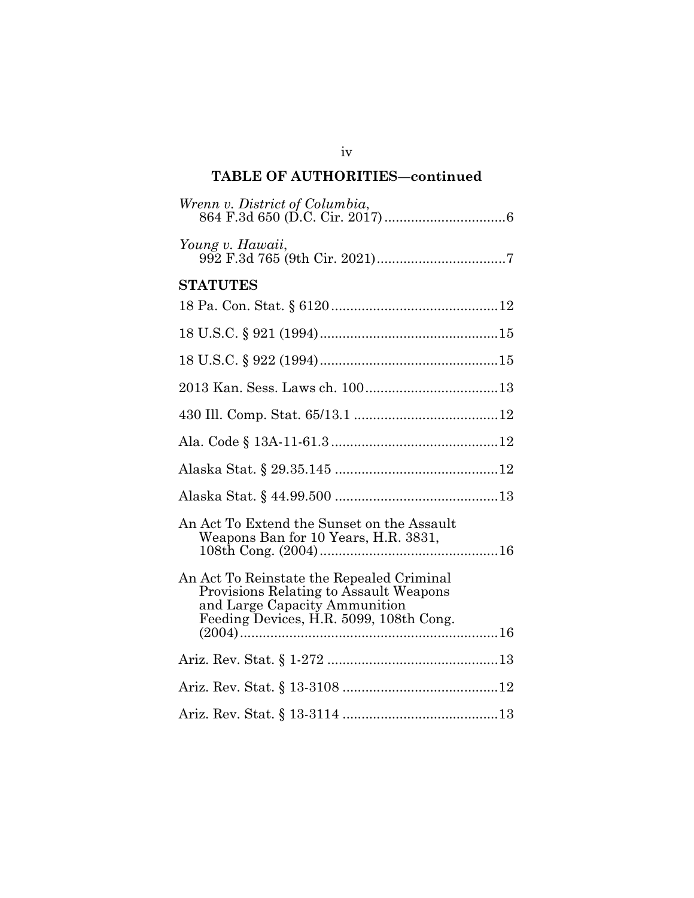| Wrenn v. District of Columbia,                                                                                                                                  |
|-----------------------------------------------------------------------------------------------------------------------------------------------------------------|
| Young v. Hawaii,                                                                                                                                                |
| <b>STATUTES</b>                                                                                                                                                 |
|                                                                                                                                                                 |
|                                                                                                                                                                 |
|                                                                                                                                                                 |
|                                                                                                                                                                 |
|                                                                                                                                                                 |
|                                                                                                                                                                 |
|                                                                                                                                                                 |
|                                                                                                                                                                 |
| An Act To Extend the Sunset on the Assault<br>Weapons Ban for 10 Years, H.R. 3831,                                                                              |
| An Act To Reinstate the Repealed Criminal<br>Provisions Relating to Assault Weapons<br>and Large Capacity Ammunition<br>Feeding Devices, H.R. 5099, 108th Cong. |
|                                                                                                                                                                 |
|                                                                                                                                                                 |
|                                                                                                                                                                 |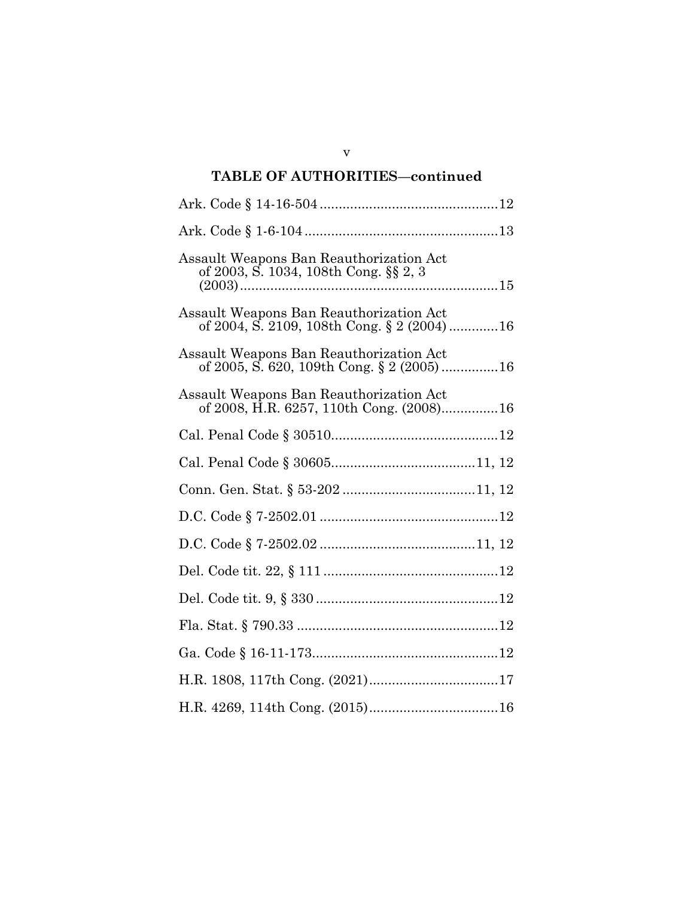| Assault Weapons Ban Reauthorization Act<br>of 2003, S. 1034, 108th Cong. §§ 2, 3      |
|---------------------------------------------------------------------------------------|
| Assault Weapons Ban Reauthorization Act<br>of 2004, S. 2109, 108th Cong. § 2 (2004)16 |
| Assault Weapons Ban Reauthorization Act<br>of 2005, S. 620, 109th Cong. § 2 (2005) 16 |
| Assault Weapons Ban Reauthorization Act<br>of 2008, H.R. 6257, 110th Cong. (2008)16   |
|                                                                                       |
|                                                                                       |
|                                                                                       |
|                                                                                       |
|                                                                                       |
|                                                                                       |
|                                                                                       |
|                                                                                       |
|                                                                                       |
|                                                                                       |
|                                                                                       |

v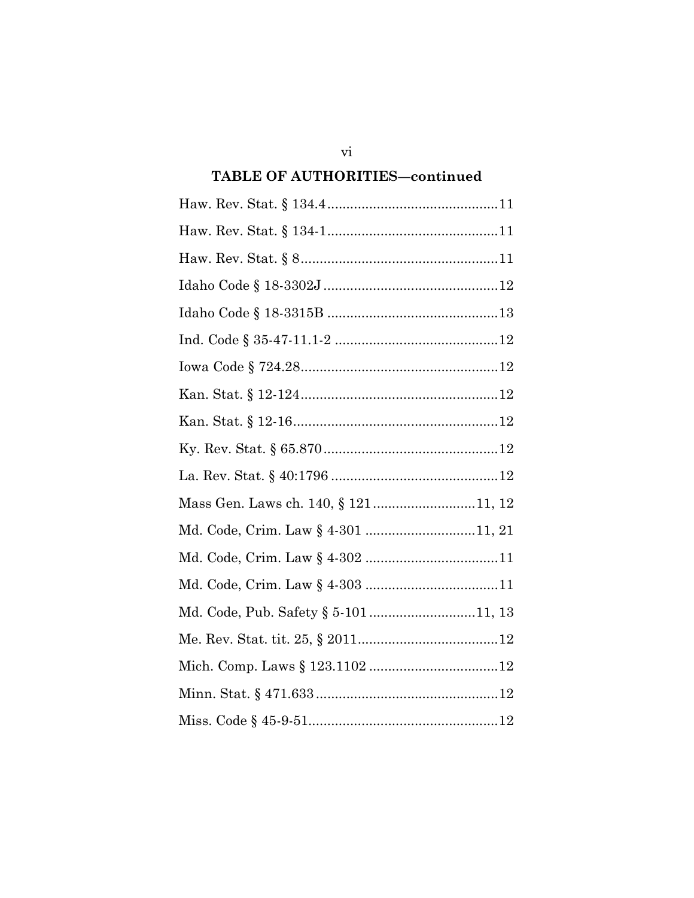| Md. Code, Crim. Law § 4-301 11, 21   |
|--------------------------------------|
|                                      |
|                                      |
| Md. Code, Pub. Safety § 5-101 11, 13 |
|                                      |
|                                      |
|                                      |
|                                      |

 $\overline{\text{vi}}$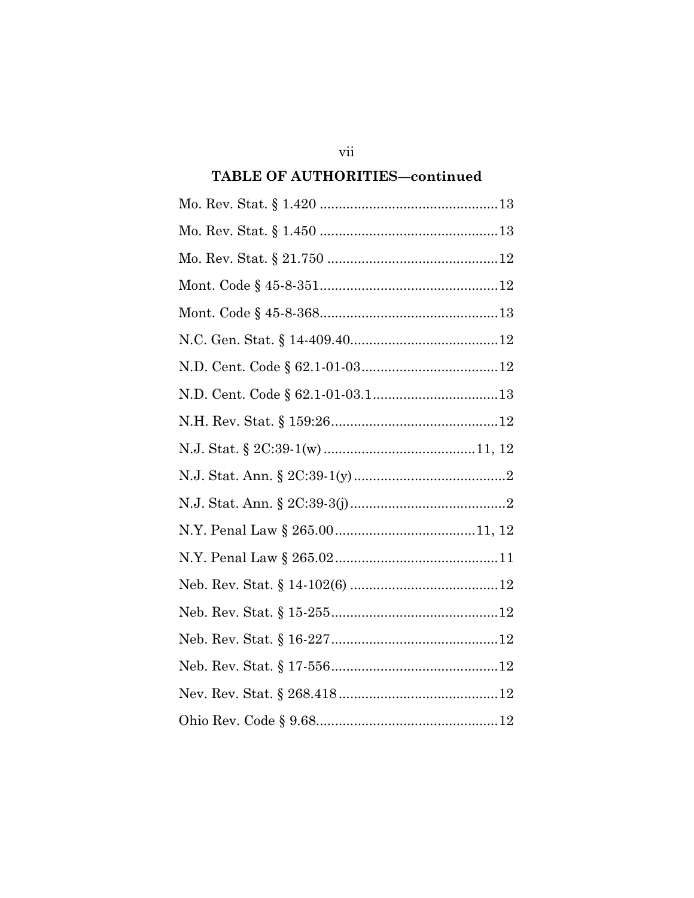vii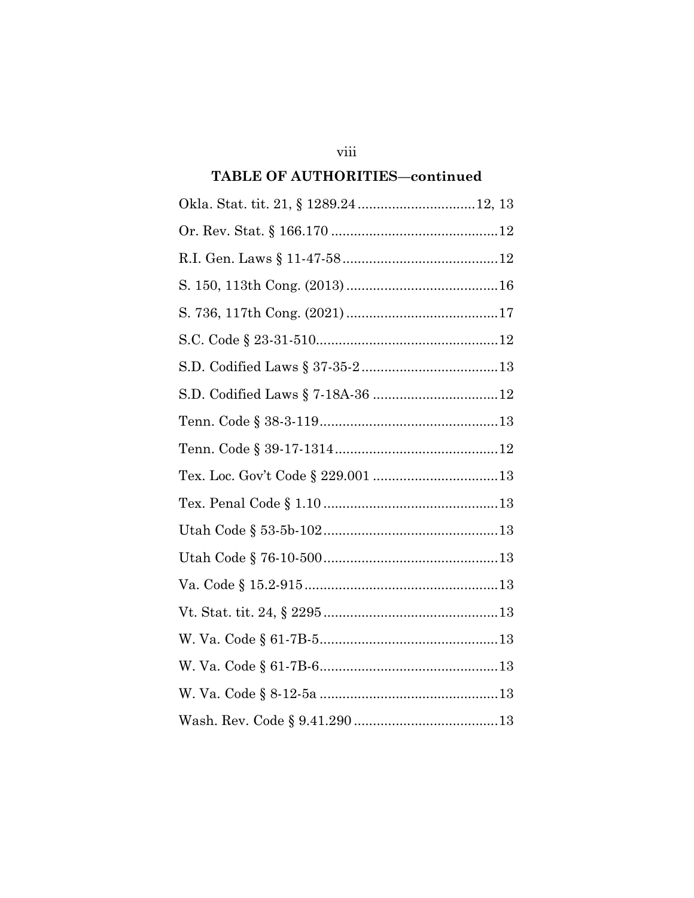viii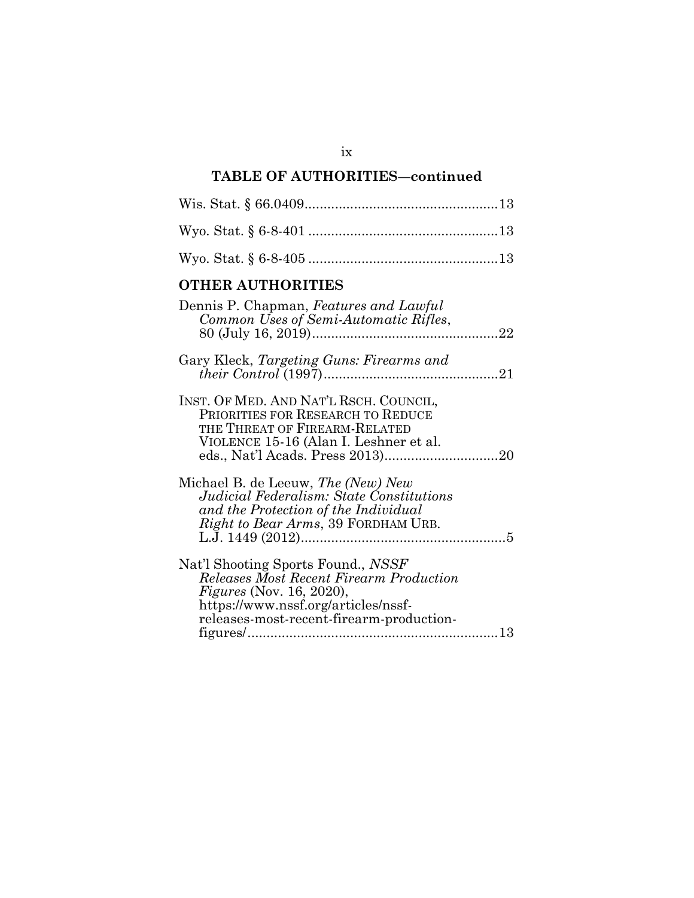| <b>OTHER AUTHORITIES</b>                                                                                                                                                                            |
|-----------------------------------------------------------------------------------------------------------------------------------------------------------------------------------------------------|
| Dennis P. Chapman, Features and Lawful<br>Common Uses of Semi-Automatic Rifles,                                                                                                                     |
| Gary Kleck, Targeting Guns: Firearms and                                                                                                                                                            |
| INST. OF MED. AND NAT'L RSCH. COUNCIL,<br>PRIORITIES FOR RESEARCH TO REDUCE<br>THE THREAT OF FIREARM-RELATED<br>VIOLENCE 15-16 (Alan I. Leshner et al.                                              |
| Michael B. de Leeuw, The (New) New<br><i>Judicial Federalism: State Constitutions</i><br>and the Protection of the Individual<br>Right to Bear Arms, 39 FORDHAM URB.                                |
| Nat'l Shooting Sports Found., NSSF<br>Releases Most Recent Firearm Production<br><i>Figures</i> (Nov. 16, 2020),<br>https://www.nssf.org/articles/nssf-<br>releases-most-recent-firearm-production- |

ix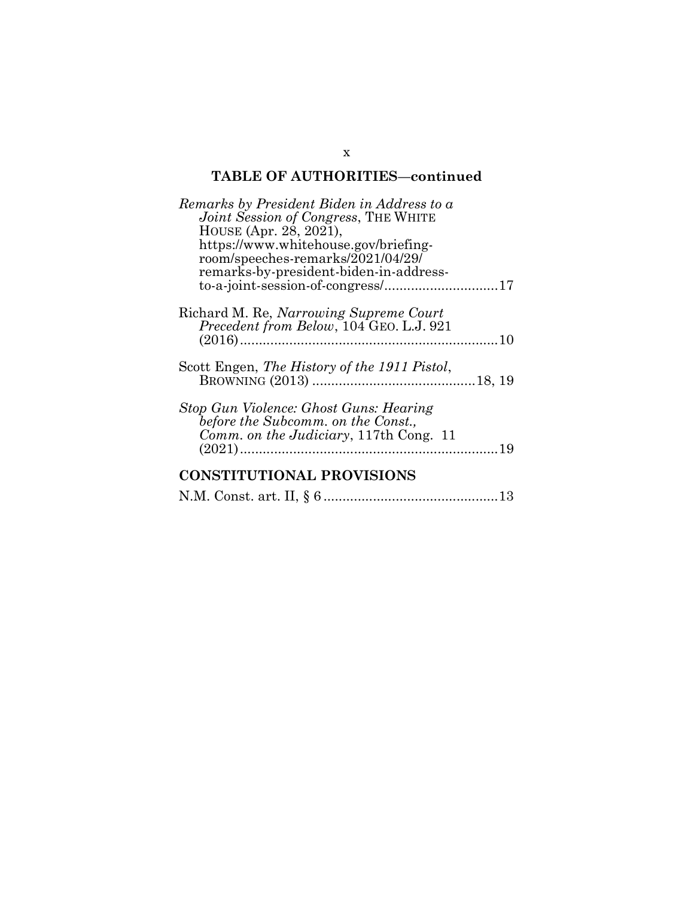| Remarks by President Biden in Address to a<br><i>Joint Session of Congress</i> , THE WHITE<br>HOUSE (Apr. 28, 2021),<br>https://www.whitehouse.gov/briefing-<br>room/speeches-remarks/2021/04/29/ |
|---------------------------------------------------------------------------------------------------------------------------------------------------------------------------------------------------|
| remarks-by-president-biden-in-address-                                                                                                                                                            |
| Richard M. Re, Narrowing Supreme Court<br>Precedent from Below, 104 GEO. L.J. 921                                                                                                                 |
| Scott Engen, The History of the 1911 Pistol,                                                                                                                                                      |
| Stop Gun Violence: Ghost Guns: Hearing<br>before the Subcomm. on the Const.,<br>Comm. on the Judiciary, 117th Cong. 11                                                                            |
| <b>CONSTITUTIONAL PROVISIONS</b>                                                                                                                                                                  |
|                                                                                                                                                                                                   |

## x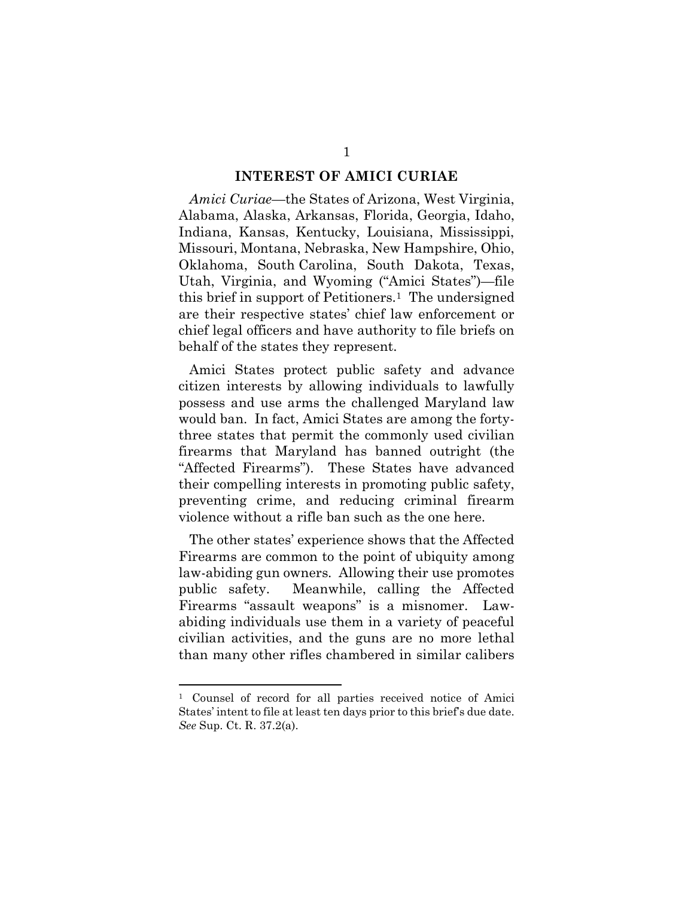#### INTEREST OF AMICI CURIAE

Amici Curiae—the States of Arizona, West Virginia, Alabama, Alaska, Arkansas, Florida, Georgia, Idaho, Indiana, Kansas, Kentucky, Louisiana, Mississippi, Missouri, Montana, Nebraska, New Hampshire, Ohio, Oklahoma, South Carolina, South Dakota, Texas, Utah, Virginia, and Wyoming ("Amici States")—file this brief in support of Petitioners.1 The undersigned are their respective states' chief law enforcement or chief legal officers and have authority to file briefs on behalf of the states they represent.

Amici States protect public safety and advance citizen interests by allowing individuals to lawfully possess and use arms the challenged Maryland law would ban. In fact, Amici States are among the fortythree states that permit the commonly used civilian firearms that Maryland has banned outright (the "Affected Firearms"). These States have advanced their compelling interests in promoting public safety, preventing crime, and reducing criminal firearm violence without a rifle ban such as the one here.

The other states' experience shows that the Affected Firearms are common to the point of ubiquity among law-abiding gun owners. Allowing their use promotes public safety. Meanwhile, calling the Affected Firearms "assault weapons" is a misnomer. Lawabiding individuals use them in a variety of peaceful civilian activities, and the guns are no more lethal than many other rifles chambered in similar calibers

<sup>1</sup> Counsel of record for all parties received notice of Amici States' intent to file at least ten days prior to this brief's due date. See Sup. Ct. R. 37.2(a).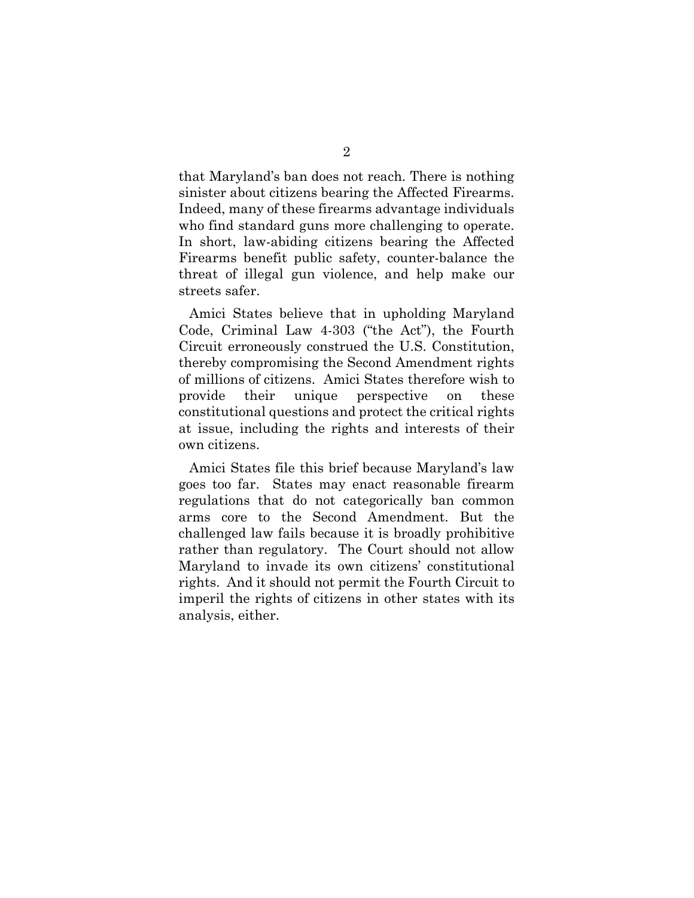that Maryland's ban does not reach. There is nothing sinister about citizens bearing the Affected Firearms. Indeed, many of these firearms advantage individuals who find standard guns more challenging to operate. In short, law-abiding citizens bearing the Affected Firearms benefit public safety, counter-balance the threat of illegal gun violence, and help make our streets safer.

Amici States believe that in upholding Maryland Code, Criminal Law 4-303 ("the Act"), the Fourth Circuit erroneously construed the U.S. Constitution, thereby compromising the Second Amendment rights of millions of citizens. Amici States therefore wish to provide their unique perspective on these constitutional questions and protect the critical rights at issue, including the rights and interests of their own citizens.

Amici States file this brief because Maryland's law goes too far. States may enact reasonable firearm regulations that do not categorically ban common arms core to the Second Amendment. But the challenged law fails because it is broadly prohibitive rather than regulatory. The Court should not allow Maryland to invade its own citizens' constitutional rights. And it should not permit the Fourth Circuit to imperil the rights of citizens in other states with its analysis, either.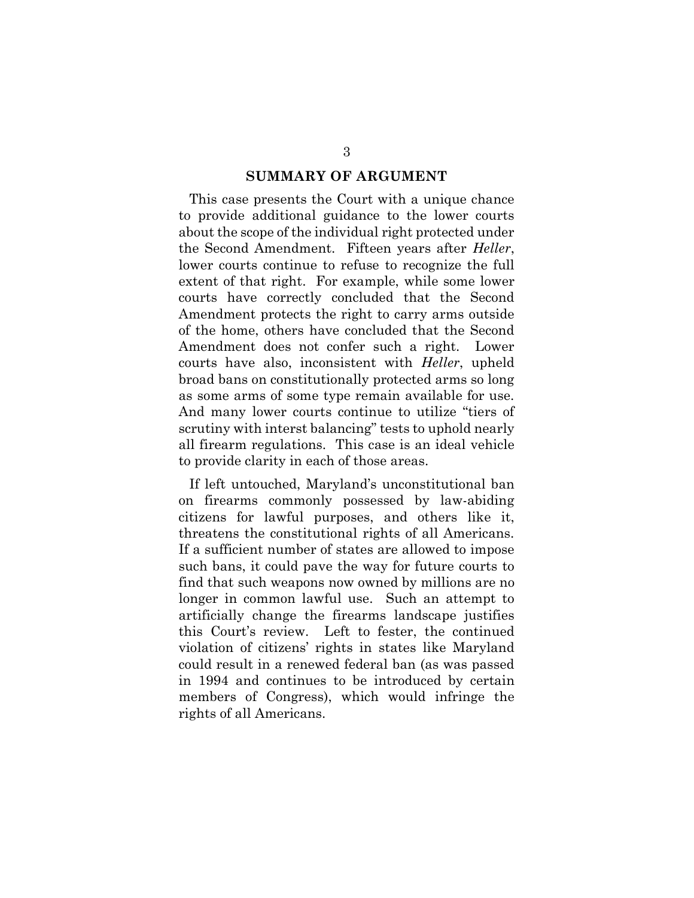#### SUMMARY OF ARGUMENT

This case presents the Court with a unique chance to provide additional guidance to the lower courts about the scope of the individual right protected under the Second Amendment. Fifteen years after Heller, lower courts continue to refuse to recognize the full extent of that right. For example, while some lower courts have correctly concluded that the Second Amendment protects the right to carry arms outside of the home, others have concluded that the Second Amendment does not confer such a right. Lower courts have also, inconsistent with Heller, upheld broad bans on constitutionally protected arms so long as some arms of some type remain available for use. And many lower courts continue to utilize "tiers of scrutiny with interst balancing" tests to uphold nearly all firearm regulations. This case is an ideal vehicle to provide clarity in each of those areas.

If left untouched, Maryland's unconstitutional ban on firearms commonly possessed by law-abiding citizens for lawful purposes, and others like it, threatens the constitutional rights of all Americans. If a sufficient number of states are allowed to impose such bans, it could pave the way for future courts to find that such weapons now owned by millions are no longer in common lawful use. Such an attempt to artificially change the firearms landscape justifies this Court's review. Left to fester, the continued violation of citizens' rights in states like Maryland could result in a renewed federal ban (as was passed in 1994 and continues to be introduced by certain members of Congress), which would infringe the rights of all Americans.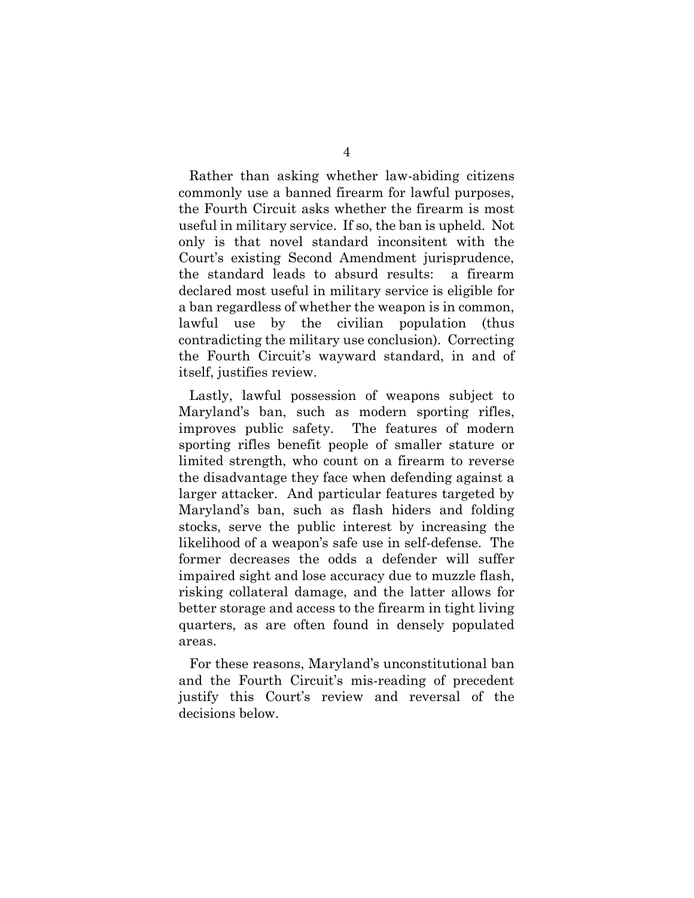Rather than asking whether law-abiding citizens commonly use a banned firearm for lawful purposes, the Fourth Circuit asks whether the firearm is most useful in military service. If so, the ban is upheld. Not only is that novel standard inconsitent with the Court's existing Second Amendment jurisprudence, the standard leads to absurd results: a firearm declared most useful in military service is eligible for a ban regardless of whether the weapon is in common, lawful use by the civilian population (thus contradicting the military use conclusion). Correcting the Fourth Circuit's wayward standard, in and of itself, justifies review.

Lastly, lawful possession of weapons subject to Maryland's ban, such as modern sporting rifles, improves public safety. The features of modern sporting rifles benefit people of smaller stature or limited strength, who count on a firearm to reverse the disadvantage they face when defending against a larger attacker. And particular features targeted by Maryland's ban, such as flash hiders and folding stocks, serve the public interest by increasing the likelihood of a weapon's safe use in self-defense. The former decreases the odds a defender will suffer impaired sight and lose accuracy due to muzzle flash, risking collateral damage, and the latter allows for better storage and access to the firearm in tight living quarters, as are often found in densely populated areas.

For these reasons, Maryland's unconstitutional ban and the Fourth Circuit's mis-reading of precedent justify this Court's review and reversal of the decisions below.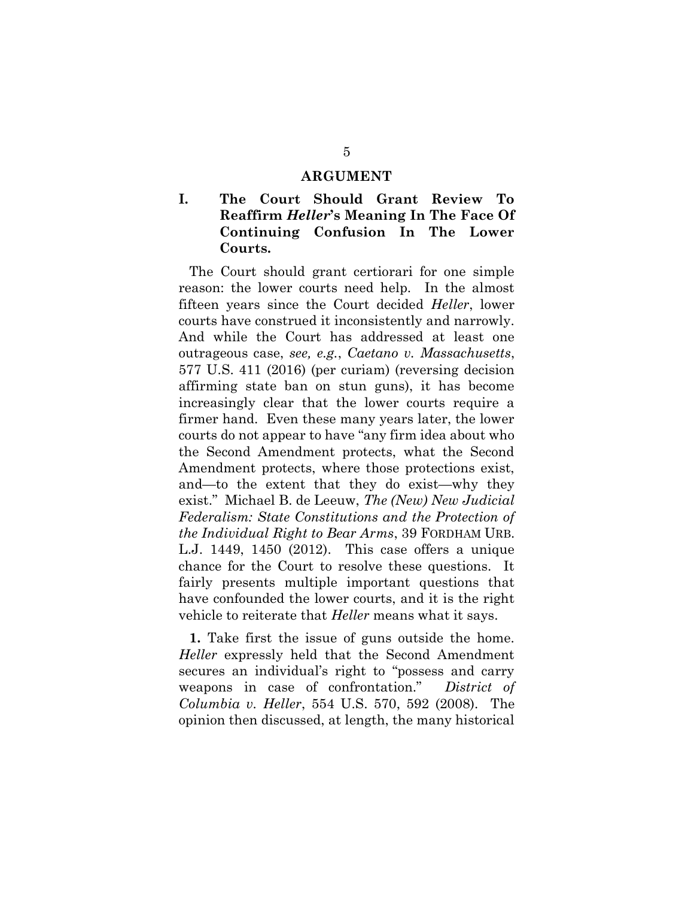#### ARGUMENT

## I. The Court Should Grant Review To Reaffirm Heller's Meaning In The Face Of Continuing Confusion In The Lower Courts.

The Court should grant certiorari for one simple reason: the lower courts need help. In the almost fifteen years since the Court decided Heller, lower courts have construed it inconsistently and narrowly. And while the Court has addressed at least one outrageous case, see, e.g., Caetano v. Massachusetts, 577 U.S. 411 (2016) (per curiam) (reversing decision affirming state ban on stun guns), it has become increasingly clear that the lower courts require a firmer hand. Even these many years later, the lower courts do not appear to have "any firm idea about who the Second Amendment protects, what the Second Amendment protects, where those protections exist, and—to the extent that they do exist—why they exist." Michael B. de Leeuw, The (New) New Judicial Federalism: State Constitutions and the Protection of the Individual Right to Bear Arms, 39 FORDHAM URB. L.J. 1449, 1450 (2012). This case offers a unique chance for the Court to resolve these questions. It fairly presents multiple important questions that have confounded the lower courts, and it is the right vehicle to reiterate that Heller means what it says.

1. Take first the issue of guns outside the home. Heller expressly held that the Second Amendment secures an individual's right to "possess and carry weapons in case of confrontation." District of Columbia v. Heller, 554 U.S. 570, 592 (2008). The opinion then discussed, at length, the many historical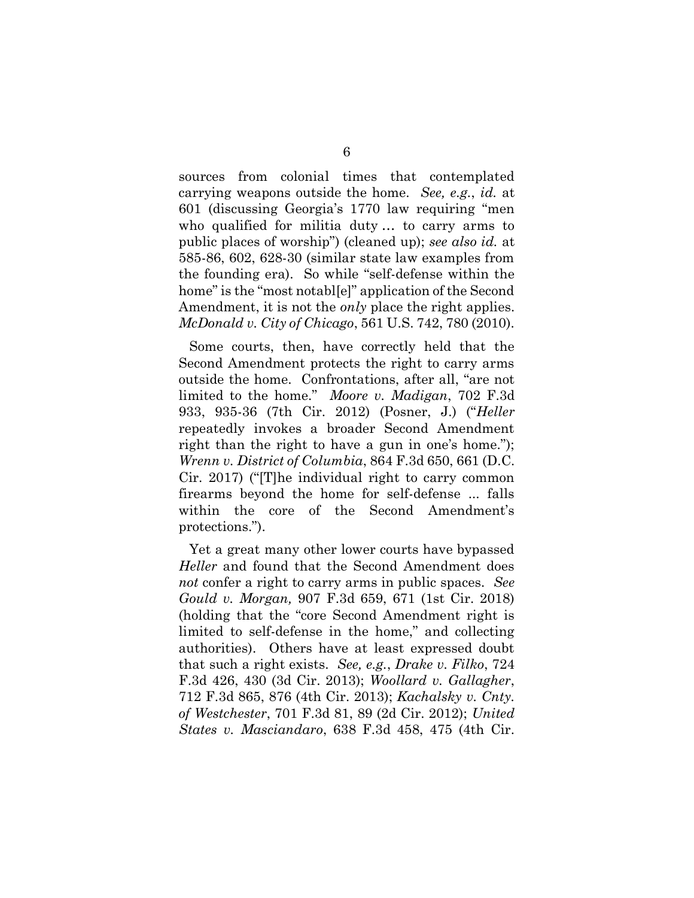sources from colonial times that contemplated carrying weapons outside the home. See, e.g., id. at 601 (discussing Georgia's 1770 law requiring "men who qualified for militia duty … to carry arms to public places of worship") (cleaned up); see also id. at 585-86, 602, 628-30 (similar state law examples from the founding era). So while "self-defense within the home" is the "most notabl[e]" application of the Second Amendment, it is not the *only* place the right applies. McDonald v. City of Chicago, 561 U.S. 742, 780 (2010).

Some courts, then, have correctly held that the Second Amendment protects the right to carry arms outside the home. Confrontations, after all, "are not limited to the home." Moore v. Madigan, 702 F.3d 933, 935-36 (7th Cir. 2012) (Posner, J.) ("Heller repeatedly invokes a broader Second Amendment right than the right to have a gun in one's home."); Wrenn v. District of Columbia, 864 F.3d 650, 661 (D.C. Cir. 2017) ("[T]he individual right to carry common firearms beyond the home for self-defense ... falls within the core of the Second Amendment's protections.").

Yet a great many other lower courts have bypassed Heller and found that the Second Amendment does not confer a right to carry arms in public spaces. See Gould v. Morgan, 907 F.3d 659, 671 (1st Cir. 2018) (holding that the "core Second Amendment right is limited to self-defense in the home," and collecting authorities). Others have at least expressed doubt that such a right exists. See, e.g., Drake v. Filko, 724 F.3d 426, 430 (3d Cir. 2013); Woollard v. Gallagher, 712 F.3d 865, 876 (4th Cir. 2013); Kachalsky v. Cnty. of Westchester, 701 F.3d 81, 89 (2d Cir. 2012); United States v. Masciandaro, 638 F.3d 458, 475 (4th Cir.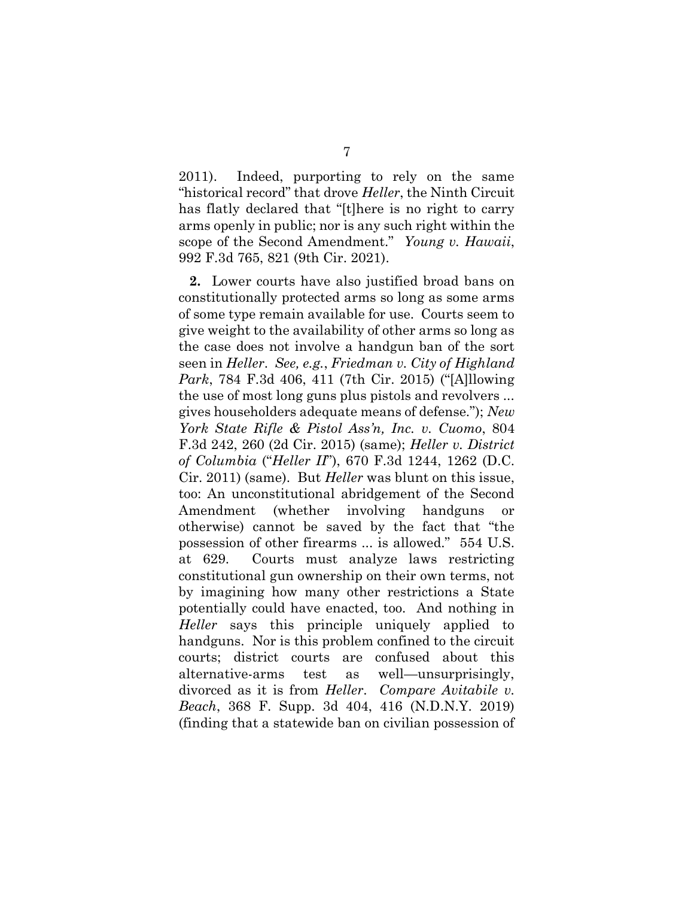2011). Indeed, purporting to rely on the same "historical record" that drove Heller, the Ninth Circuit has flatly declared that "[t]here is no right to carry arms openly in public; nor is any such right within the scope of the Second Amendment." Young v. Hawaii, 992 F.3d 765, 821 (9th Cir. 2021).

2. Lower courts have also justified broad bans on constitutionally protected arms so long as some arms of some type remain available for use. Courts seem to give weight to the availability of other arms so long as the case does not involve a handgun ban of the sort seen in Heller. See, e.g., Friedman v. City of Highland Park, 784 F.3d 406, 411 (7th Cir. 2015) ("[A]llowing the use of most long guns plus pistols and revolvers ... gives householders adequate means of defense."); New York State Rifle & Pistol Ass'n, Inc. v. Cuomo, 804 F.3d 242, 260 (2d Cir. 2015) (same); Heller v. District of Columbia ("Heller II"), 670 F.3d 1244, 1262 (D.C. Cir. 2011) (same). But Heller was blunt on this issue, too: An unconstitutional abridgement of the Second Amendment (whether involving handguns or otherwise) cannot be saved by the fact that "the possession of other firearms ... is allowed." 554 U.S. at 629. Courts must analyze laws restricting constitutional gun ownership on their own terms, not by imagining how many other restrictions a State potentially could have enacted, too. And nothing in Heller says this principle uniquely applied to handguns. Nor is this problem confined to the circuit courts; district courts are confused about this alternative-arms test as well—unsurprisingly, divorced as it is from Heller. Compare Avitabile v. Beach, 368 F. Supp. 3d 404, 416 (N.D.N.Y. 2019) (finding that a statewide ban on civilian possession of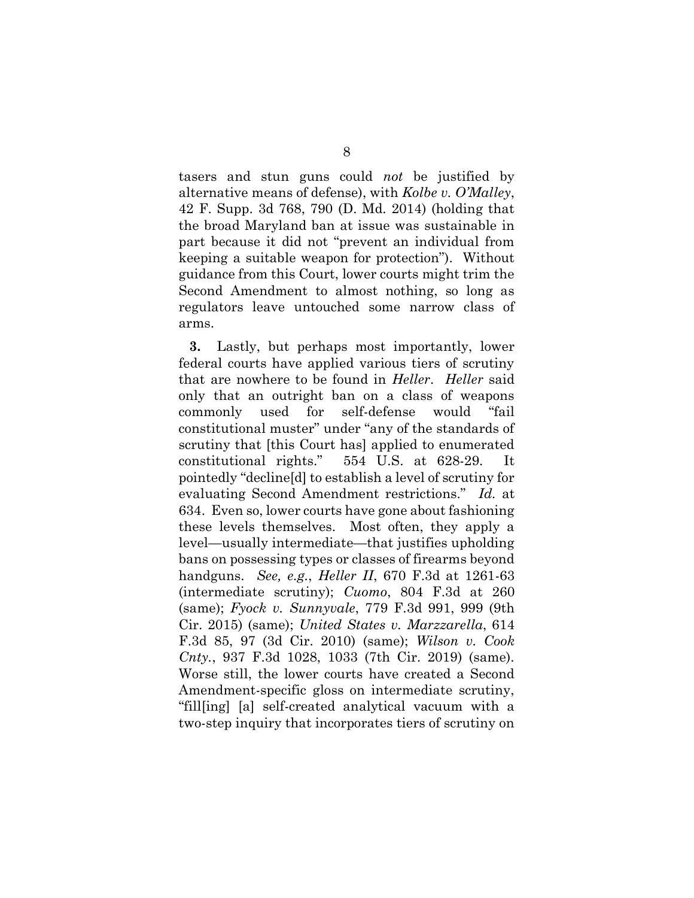tasers and stun guns could not be justified by alternative means of defense), with Kolbe v. O'Malley, 42 F. Supp. 3d 768, 790 (D. Md. 2014) (holding that the broad Maryland ban at issue was sustainable in part because it did not "prevent an individual from keeping a suitable weapon for protection"). Without guidance from this Court, lower courts might trim the Second Amendment to almost nothing, so long as regulators leave untouched some narrow class of arms.

3. Lastly, but perhaps most importantly, lower federal courts have applied various tiers of scrutiny that are nowhere to be found in Heller. Heller said only that an outright ban on a class of weapons commonly used for self-defense would "fail constitutional muster" under "any of the standards of scrutiny that [this Court has] applied to enumerated constitutional rights." 554 U.S. at 628-29. It pointedly "decline[d] to establish a level of scrutiny for evaluating Second Amendment restrictions." Id. at 634. Even so, lower courts have gone about fashioning these levels themselves. Most often, they apply a level—usually intermediate—that justifies upholding bans on possessing types or classes of firearms beyond handguns. See, e.g., Heller II, 670 F.3d at 1261-63 (intermediate scrutiny); Cuomo, 804 F.3d at 260 (same); Fyock v. Sunnyvale, 779 F.3d 991, 999 (9th Cir. 2015) (same); United States v. Marzzarella, 614 F.3d 85, 97 (3d Cir. 2010) (same); Wilson v. Cook Cnty., 937 F.3d 1028, 1033 (7th Cir. 2019) (same). Worse still, the lower courts have created a Second Amendment-specific gloss on intermediate scrutiny, "fill[ing] [a] self-created analytical vacuum with a two-step inquiry that incorporates tiers of scrutiny on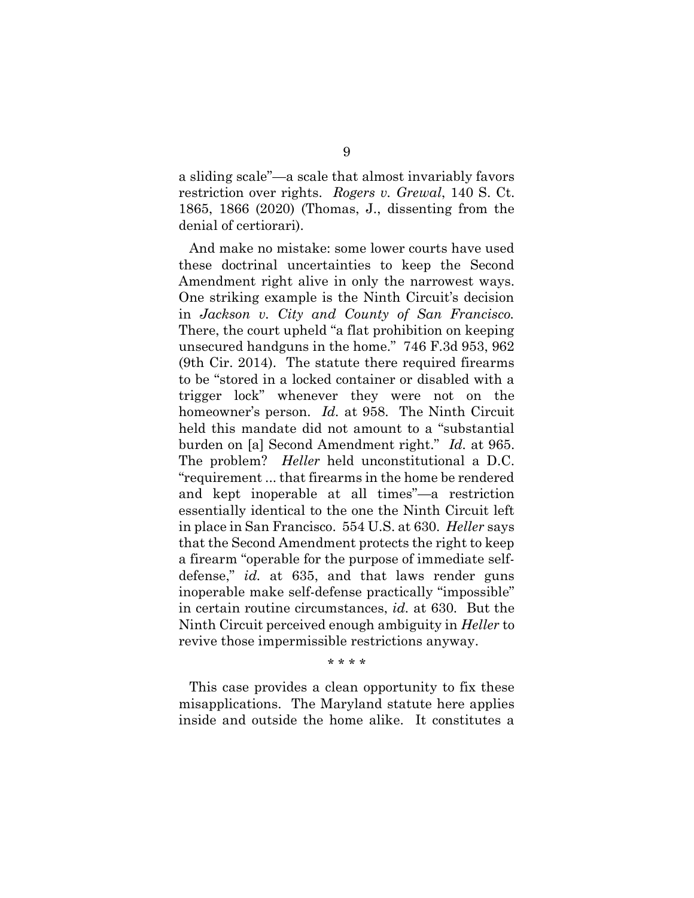a sliding scale"—a scale that almost invariably favors restriction over rights. Rogers v. Grewal, 140 S. Ct. 1865, 1866 (2020) (Thomas, J., dissenting from the denial of certiorari).

And make no mistake: some lower courts have used these doctrinal uncertainties to keep the Second Amendment right alive in only the narrowest ways. One striking example is the Ninth Circuit's decision in Jackson v. City and County of San Francisco. There, the court upheld "a flat prohibition on keeping unsecured handguns in the home." 746 F.3d 953, 962 (9th Cir. 2014). The statute there required firearms to be "stored in a locked container or disabled with a trigger lock" whenever they were not on the homeowner's person. Id. at 958. The Ninth Circuit held this mandate did not amount to a "substantial burden on [a] Second Amendment right." Id. at 965. The problem? *Heller* held unconstitutional a D.C. "requirement ... that firearms in the home be rendered and kept inoperable at all times"—a restriction essentially identical to the one the Ninth Circuit left in place in San Francisco. 554 U.S. at 630. Heller says that the Second Amendment protects the right to keep a firearm "operable for the purpose of immediate selfdefense," id. at 635, and that laws render guns inoperable make self-defense practically "impossible" in certain routine circumstances, id. at 630. But the Ninth Circuit perceived enough ambiguity in Heller to revive those impermissible restrictions anyway.

\* \* \* \*

This case provides a clean opportunity to fix these misapplications. The Maryland statute here applies inside and outside the home alike. It constitutes a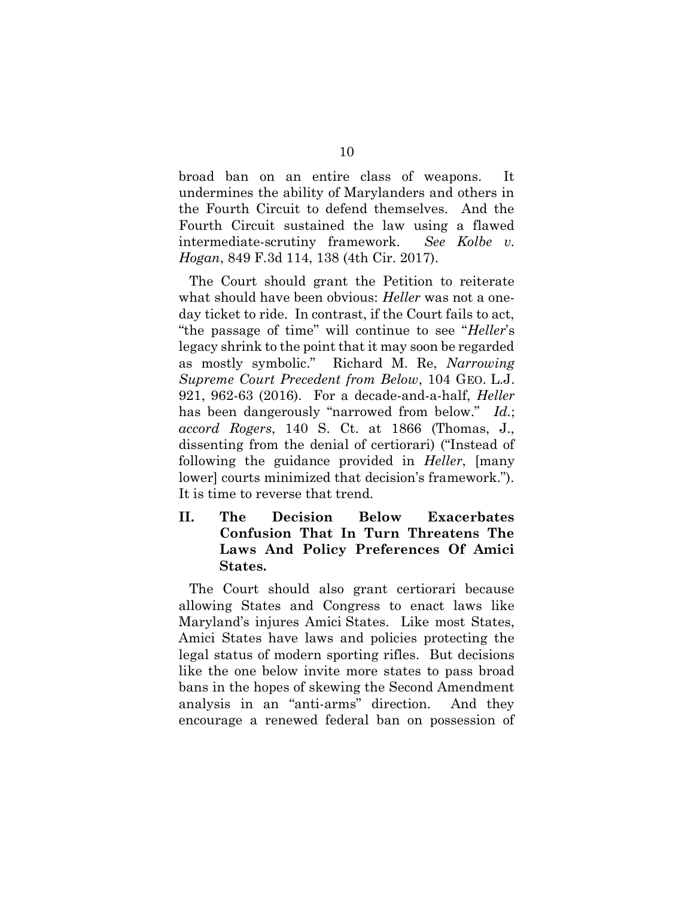broad ban on an entire class of weapons. It undermines the ability of Marylanders and others in the Fourth Circuit to defend themselves. And the Fourth Circuit sustained the law using a flawed intermediate-scrutiny framework. See Kolbe v. Hogan, 849 F.3d 114, 138 (4th Cir. 2017).

The Court should grant the Petition to reiterate what should have been obvious: Heller was not a oneday ticket to ride. In contrast, if the Court fails to act, "the passage of time" will continue to see "Heller's legacy shrink to the point that it may soon be regarded as mostly symbolic." Richard M. Re, Narrowing Supreme Court Precedent from Below, 104 GEO. L.J. 921, 962-63 (2016). For a decade-and-a-half, Heller has been dangerously "narrowed from below." Id.; accord Rogers, 140 S. Ct. at 1866 (Thomas, J., dissenting from the denial of certiorari) ("Instead of following the guidance provided in *Heller*, [many lower] courts minimized that decision's framework."). It is time to reverse that trend.

II. The Decision Below Exacerbates Confusion That In Turn Threatens The Laws And Policy Preferences Of Amici States.

The Court should also grant certiorari because allowing States and Congress to enact laws like Maryland's injures Amici States. Like most States, Amici States have laws and policies protecting the legal status of modern sporting rifles. But decisions like the one below invite more states to pass broad bans in the hopes of skewing the Second Amendment analysis in an "anti-arms" direction. And they encourage a renewed federal ban on possession of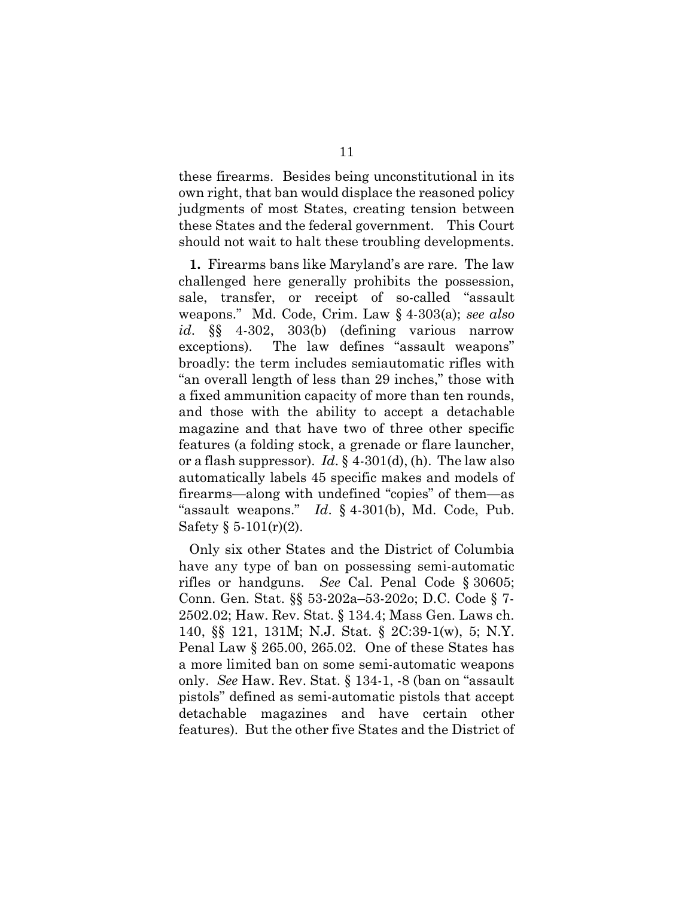these firearms. Besides being unconstitutional in its own right, that ban would displace the reasoned policy judgments of most States, creating tension between these States and the federal government. This Court should not wait to halt these troubling developments.

1. Firearms bans like Maryland's are rare. The law challenged here generally prohibits the possession, sale, transfer, or receipt of so-called "assault weapons." Md. Code, Crim. Law § 4-303(a); see also id. §§ 4-302, 303(b) (defining various narrow exceptions). The law defines "assault weapons" broadly: the term includes semiautomatic rifles with "an overall length of less than 29 inches," those with a fixed ammunition capacity of more than ten rounds, and those with the ability to accept a detachable magazine and that have two of three other specific features (a folding stock, a grenade or flare launcher, or a flash suppressor). Id.  $\S$  4-301(d), (h). The law also automatically labels 45 specific makes and models of firearms—along with undefined "copies" of them—as "assault weapons." Id. § 4-301(b), Md. Code, Pub. Safety  $\S 5-101(r)(2)$ .

Only six other States and the District of Columbia have any type of ban on possessing semi-automatic rifles or handguns. See Cal. Penal Code § 30605; Conn. Gen. Stat. §§ 53-202a–53-202o; D.C. Code § 7- 2502.02; Haw. Rev. Stat. § 134.4; Mass Gen. Laws ch. 140, §§ 121, 131M; N.J. Stat. § 2C:39-1(w), 5; N.Y. Penal Law § 265.00, 265.02. One of these States has a more limited ban on some semi-automatic weapons only. See Haw. Rev. Stat. § 134-1, -8 (ban on "assault pistols" defined as semi-automatic pistols that accept detachable magazines and have certain other features). But the other five States and the District of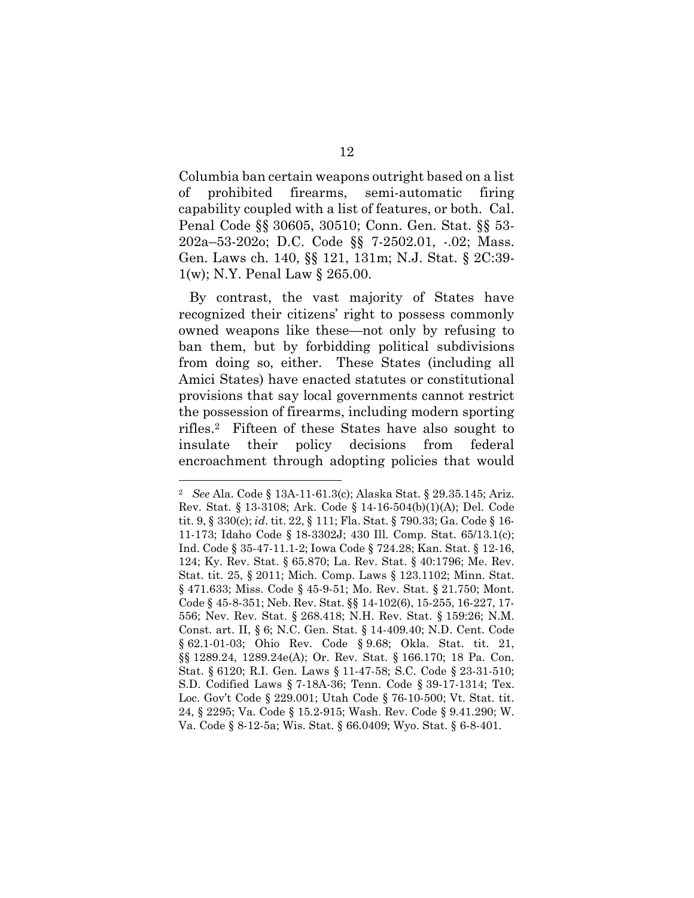Columbia ban certain weapons outright based on a list of prohibited firearms, semi-automatic firing capability coupled with a list of features, or both. Cal. Penal Code §§ 30605, 30510; Conn. Gen. Stat. §§ 53- 202a–53-202o; D.C. Code §§ 7-2502.01, -.02; Mass. Gen. Laws ch. 140, §§ 121, 131m; N.J. Stat. § 2C:39- 1(w); N.Y. Penal Law § 265.00.

By contrast, the vast majority of States have recognized their citizens' right to possess commonly owned weapons like these—not only by refusing to ban them, but by forbidding political subdivisions from doing so, either. These States (including all Amici States) have enacted statutes or constitutional provisions that say local governments cannot restrict the possession of firearms, including modern sporting rifles.2 Fifteen of these States have also sought to insulate their policy decisions from federal encroachment through adopting policies that would

<sup>2</sup> See Ala. Code § 13A-11-61.3(c); Alaska Stat. § 29.35.145; Ariz. Rev. Stat. § 13-3108; Ark. Code § 14-16-504(b)(1)(A); Del. Code tit. 9, § 330(c); id. tit. 22, § 111; Fla. Stat. § 790.33; Ga. Code § 16- 11-173; Idaho Code § 18-3302J; 430 Ill. Comp. Stat. 65/13.1(c); Ind. Code § 35-47-11.1-2; Iowa Code § 724.28; Kan. Stat. § 12-16, 124; Ky. Rev. Stat. § 65.870; La. Rev. Stat. § 40:1796; Me. Rev. Stat. tit. 25, § 2011; Mich. Comp. Laws § 123.1102; Minn. Stat. § 471.633; Miss. Code § 45-9-51; Mo. Rev. Stat. § 21.750; Mont. Code § 45-8-351; Neb. Rev. Stat. §§ 14-102(6), 15-255, 16-227, 17- 556; Nev. Rev. Stat. § 268.418; N.H. Rev. Stat. § 159:26; N.M. Const. art. II, § 6; N.C. Gen. Stat. § 14-409.40; N.D. Cent. Code § 62.1-01-03; Ohio Rev. Code § 9.68; Okla. Stat. tit. 21, §§ 1289.24, 1289.24e(A); Or. Rev. Stat. § 166.170; 18 Pa. Con. Stat. § 6120; R.I. Gen. Laws § 11-47-58; S.C. Code § 23-31-510; S.D. Codified Laws § 7-18A-36; Tenn. Code § 39-17-1314; Tex. Loc. Gov't Code § 229.001; Utah Code § 76-10-500; Vt. Stat. tit. 24, § 2295; Va. Code § 15.2-915; Wash. Rev. Code § 9.41.290; W. Va. Code § 8-12-5a; Wis. Stat. § 66.0409; Wyo. Stat. § 6-8-401.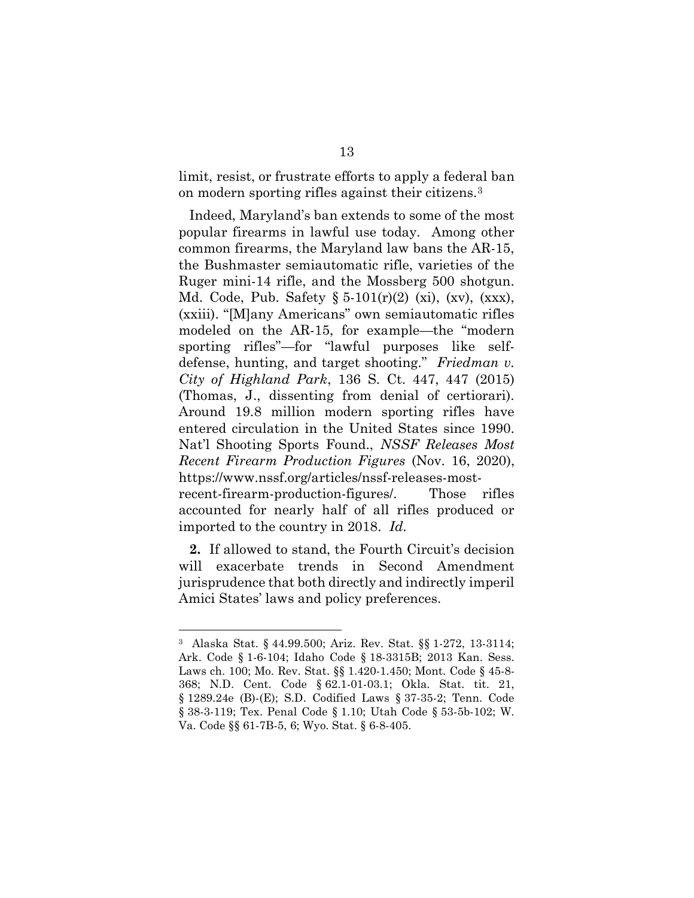limit, resist, or frustrate efforts to apply a federal ban on modern sporting rifles against their citizens.<sup>3</sup>

Indeed, Maryland's ban extends to some of the most popular firearms in lawful use today. Among other common firearms, the Maryland law bans the AR-15, the Bushmaster semiautomatic rifle, varieties of the Ruger mini-14 rifle, and the Mossberg 500 shotgun. Md. Code, Pub. Safety § 5-101 $(r)(2)$  (xi), (xv), (xxx), (xxiii). "[M]any Americans" own semiautomatic rifles modeled on the AR-15, for example—the "modern sporting rifles"—for "lawful purposes like selfdefense, hunting, and target shooting." Friedman v. City of Highland Park, 136 S. Ct. 447, 447 (2015) (Thomas, J., dissenting from denial of certiorari). Around 19.8 million modern sporting rifles have entered circulation in the United States since 1990. Nat'l Shooting Sports Found., NSSF Releases Most Recent Firearm Production Figures (Nov. 16, 2020), https://www.nssf.org/articles/nssf-releases-most-

recent-firearm-production-figures/. Those rifles accounted for nearly half of all rifles produced or imported to the country in 2018. Id.

2. If allowed to stand, the Fourth Circuit's decision will exacerbate trends in Second Amendment jurisprudence that both directly and indirectly imperil Amici States' laws and policy preferences.

<sup>3</sup> Alaska Stat. § 44.99.500; Ariz. Rev. Stat. §§ 1-272, 13-3114; Ark. Code § 1-6-104; Idaho Code § 18-3315B; 2013 Kan. Sess. Laws ch. 100; Mo. Rev. Stat. §§ 1.420-1.450; Mont. Code § 45-8- 368; N.D. Cent. Code § 62.1-01-03.1; Okla. Stat. tit. 21, § 1289.24e (B)-(E); S.D. Codified Laws § 37-35-2; Tenn. Code § 38-3-119; Tex. Penal Code § 1.10; Utah Code § 53-5b-102; W. Va. Code §§ 61-7B-5, 6; Wyo. Stat. § 6-8-405.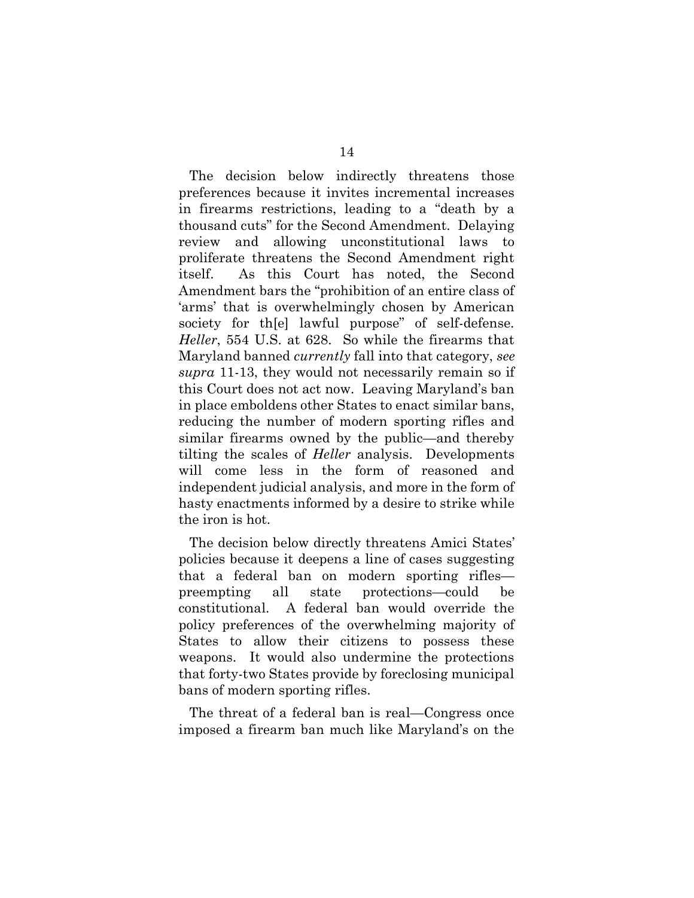The decision below indirectly threatens those preferences because it invites incremental increases in firearms restrictions, leading to a "death by a thousand cuts" for the Second Amendment. Delaying review and allowing unconstitutional laws to proliferate threatens the Second Amendment right itself. As this Court has noted, the Second Amendment bars the "prohibition of an entire class of 'arms' that is overwhelmingly chosen by American society for th[e] lawful purpose" of self-defense. Heller, 554 U.S. at 628. So while the firearms that Maryland banned currently fall into that category, see supra 11-13, they would not necessarily remain so if this Court does not act now. Leaving Maryland's ban in place emboldens other States to enact similar bans, reducing the number of modern sporting rifles and similar firearms owned by the public—and thereby tilting the scales of Heller analysis. Developments will come less in the form of reasoned and independent judicial analysis, and more in the form of hasty enactments informed by a desire to strike while the iron is hot.

The decision below directly threatens Amici States' policies because it deepens a line of cases suggesting that a federal ban on modern sporting rifles preempting all state protections—could be constitutional. A federal ban would override the policy preferences of the overwhelming majority of States to allow their citizens to possess these weapons. It would also undermine the protections that forty-two States provide by foreclosing municipal bans of modern sporting rifles.

The threat of a federal ban is real—Congress once imposed a firearm ban much like Maryland's on the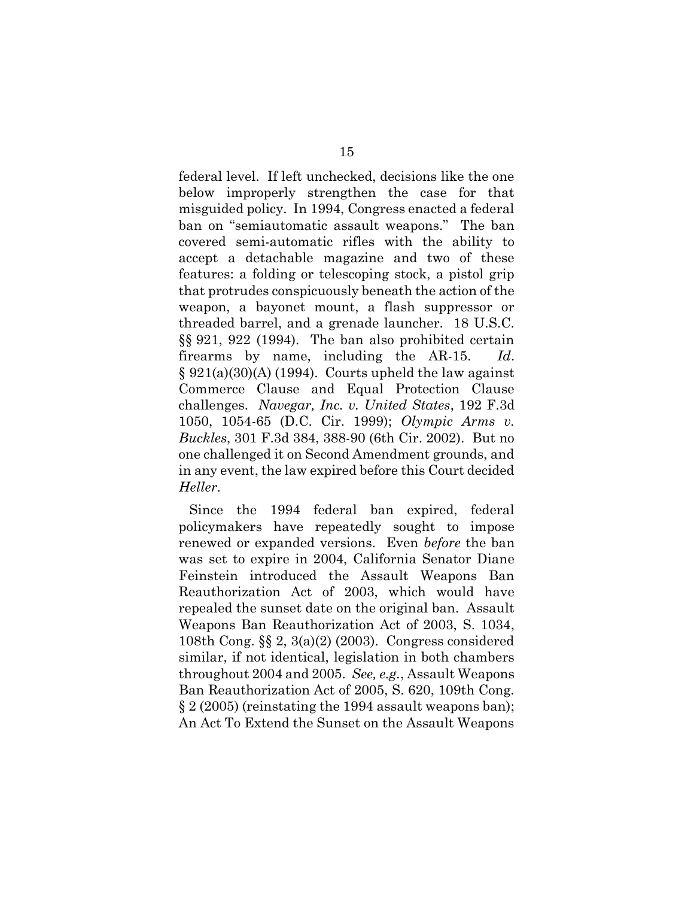federal level. If left unchecked, decisions like the one below improperly strengthen the case for that misguided policy. In 1994, Congress enacted a federal ban on "semiautomatic assault weapons." The ban covered semi-automatic rifles with the ability to accept a detachable magazine and two of these features: a folding or telescoping stock, a pistol grip that protrudes conspicuously beneath the action of the weapon, a bayonet mount, a flash suppressor or threaded barrel, and a grenade launcher. 18 U.S.C. §§ 921, 922 (1994). The ban also prohibited certain firearms by name, including the AR-15. Id.  $\S 921(a)(30)(A)$  (1994). Courts upheld the law against Commerce Clause and Equal Protection Clause challenges. Navegar, Inc. v. United States, 192 F.3d 1050, 1054-65 (D.C. Cir. 1999); Olympic Arms v. Buckles, 301 F.3d 384, 388-90 (6th Cir. 2002). But no one challenged it on Second Amendment grounds, and in any event, the law expired before this Court decided Heller.

Since the 1994 federal ban expired, federal policymakers have repeatedly sought to impose renewed or expanded versions. Even before the ban was set to expire in 2004, California Senator Diane Feinstein introduced the Assault Weapons Ban Reauthorization Act of 2003, which would have repealed the sunset date on the original ban. Assault Weapons Ban Reauthorization Act of 2003, S. 1034, 108th Cong. §§ 2, 3(a)(2) (2003). Congress considered similar, if not identical, legislation in both chambers throughout 2004 and 2005. See, e.g., Assault Weapons Ban Reauthorization Act of 2005, S. 620, 109th Cong. § 2 (2005) (reinstating the 1994 assault weapons ban); An Act To Extend the Sunset on the Assault Weapons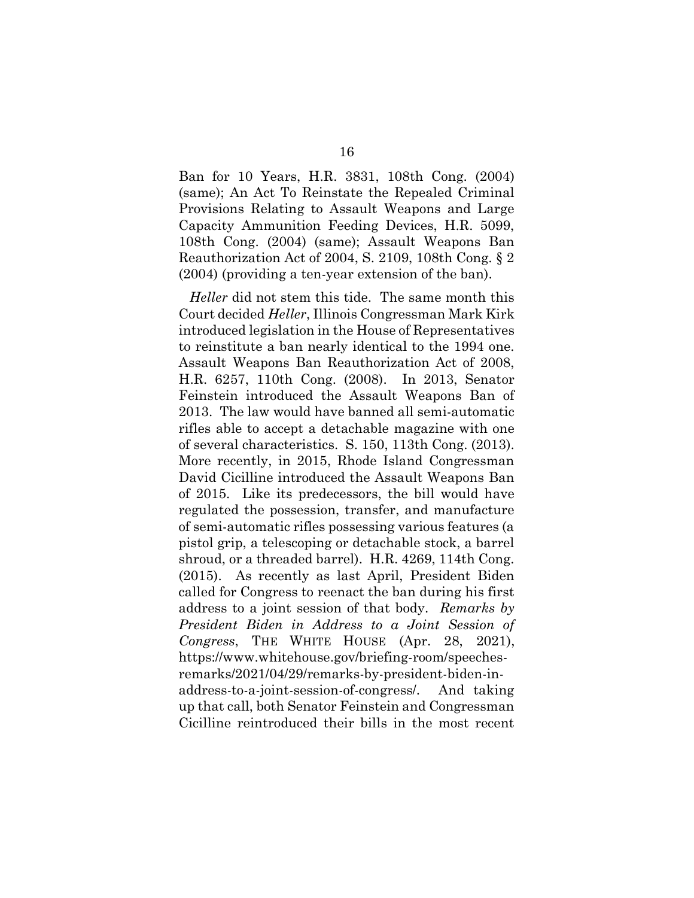Ban for 10 Years, H.R. 3831, 108th Cong. (2004) (same); An Act To Reinstate the Repealed Criminal Provisions Relating to Assault Weapons and Large Capacity Ammunition Feeding Devices, H.R. 5099, 108th Cong. (2004) (same); Assault Weapons Ban Reauthorization Act of 2004, S. 2109, 108th Cong. § 2 (2004) (providing a ten-year extension of the ban).

Heller did not stem this tide. The same month this Court decided Heller, Illinois Congressman Mark Kirk introduced legislation in the House of Representatives to reinstitute a ban nearly identical to the 1994 one. Assault Weapons Ban Reauthorization Act of 2008, H.R. 6257, 110th Cong. (2008). In 2013, Senator Feinstein introduced the Assault Weapons Ban of 2013. The law would have banned all semi-automatic rifles able to accept a detachable magazine with one of several characteristics. S. 150, 113th Cong. (2013). More recently, in 2015, Rhode Island Congressman David Cicilline introduced the Assault Weapons Ban of 2015. Like its predecessors, the bill would have regulated the possession, transfer, and manufacture of semi-automatic rifles possessing various features (a pistol grip, a telescoping or detachable stock, a barrel shroud, or a threaded barrel). H.R. 4269, 114th Cong. (2015). As recently as last April, President Biden called for Congress to reenact the ban during his first address to a joint session of that body. Remarks by President Biden in Address to a Joint Session of Congress, THE WHITE HOUSE (Apr. 28, 2021), https://www.whitehouse.gov/briefing-room/speechesremarks/2021/04/29/remarks-by-president-biden-inaddress-to-a-joint-session-of-congress/. And taking up that call, both Senator Feinstein and Congressman Cicilline reintroduced their bills in the most recent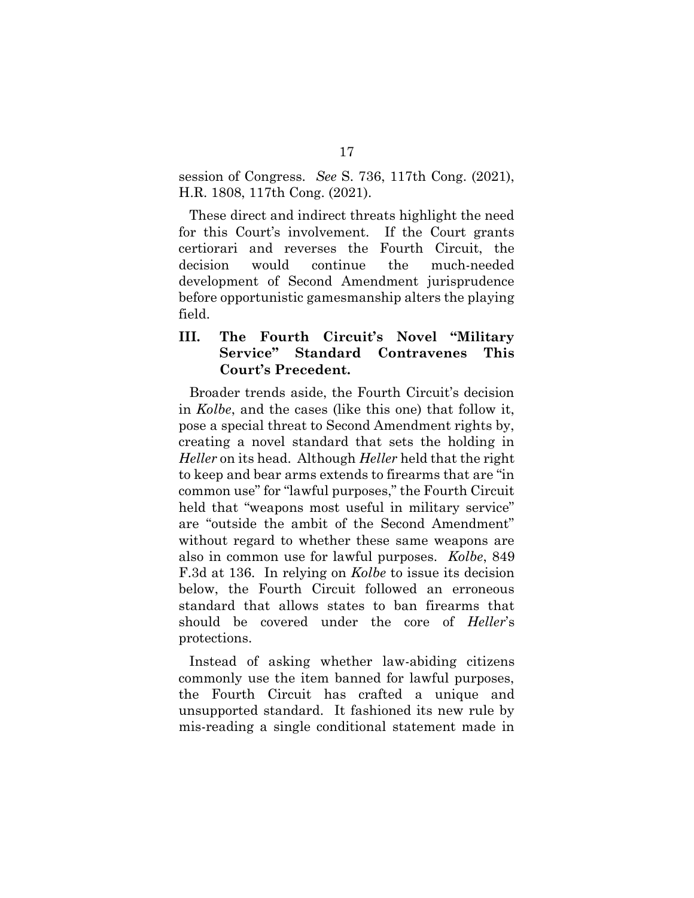session of Congress. See S. 736, 117th Cong. (2021), H.R. 1808, 117th Cong. (2021).

These direct and indirect threats highlight the need for this Court's involvement. If the Court grants certiorari and reverses the Fourth Circuit, the decision would continue the much-needed development of Second Amendment jurisprudence before opportunistic gamesmanship alters the playing field.

## III. The Fourth Circuit's Novel "Military Service" Standard Contravenes This Court's Precedent.

Broader trends aside, the Fourth Circuit's decision in Kolbe, and the cases (like this one) that follow it, pose a special threat to Second Amendment rights by, creating a novel standard that sets the holding in Heller on its head. Although Heller held that the right to keep and bear arms extends to firearms that are "in common use" for "lawful purposes," the Fourth Circuit held that "weapons most useful in military service" are "outside the ambit of the Second Amendment" without regard to whether these same weapons are also in common use for lawful purposes. Kolbe, 849 F.3d at 136. In relying on Kolbe to issue its decision below, the Fourth Circuit followed an erroneous standard that allows states to ban firearms that should be covered under the core of Heller's protections.

Instead of asking whether law-abiding citizens commonly use the item banned for lawful purposes, the Fourth Circuit has crafted a unique and unsupported standard. It fashioned its new rule by mis-reading a single conditional statement made in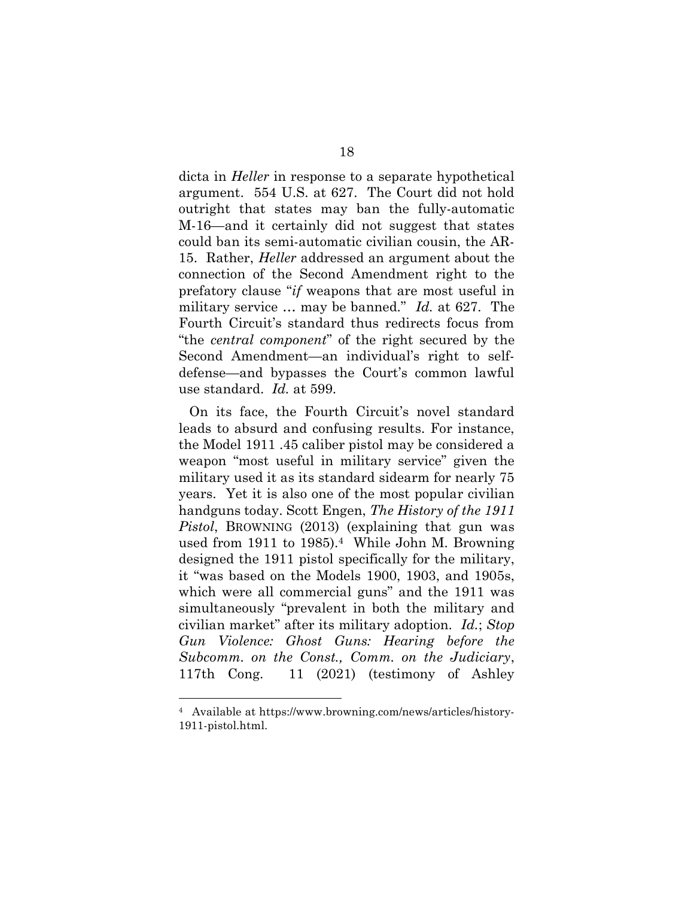dicta in Heller in response to a separate hypothetical argument. 554 U.S. at 627. The Court did not hold outright that states may ban the fully-automatic M-16—and it certainly did not suggest that states could ban its semi-automatic civilian cousin, the AR-15. Rather, Heller addressed an argument about the connection of the Second Amendment right to the prefatory clause "if weapons that are most useful in military service ... may be banned." Id. at 627. The Fourth Circuit's standard thus redirects focus from "the central component" of the right secured by the Second Amendment—an individual's right to selfdefense—and bypasses the Court's common lawful use standard. Id. at 599.

On its face, the Fourth Circuit's novel standard leads to absurd and confusing results. For instance, the Model 1911 .45 caliber pistol may be considered a weapon "most useful in military service" given the military used it as its standard sidearm for nearly 75 years. Yet it is also one of the most popular civilian handguns today. Scott Engen, The History of the 1911 Pistol, BROWNING (2013) (explaining that gun was used from 1911 to 1985).4 While John M. Browning designed the 1911 pistol specifically for the military, it "was based on the Models 1900, 1903, and 1905s, which were all commercial guns" and the 1911 was simultaneously "prevalent in both the military and civilian market" after its military adoption. Id.; Stop Gun Violence: Ghost Guns: Hearing before the Subcomm. on the Const., Comm. on the Judiciary, 117th Cong. 11 (2021) (testimony of Ashley

<sup>4</sup> Available at https://www.browning.com/news/articles/history-1911-pistol.html.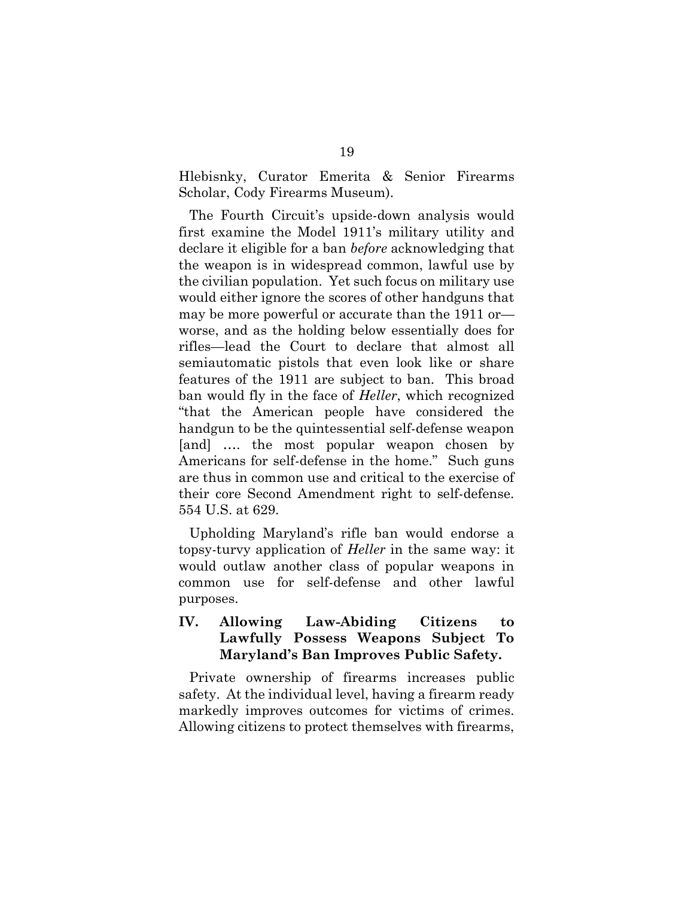Hlebisnky, Curator Emerita & Senior Firearms Scholar, Cody Firearms Museum).

The Fourth Circuit's upside-down analysis would first examine the Model 1911's military utility and declare it eligible for a ban before acknowledging that the weapon is in widespread common, lawful use by the civilian population. Yet such focus on military use would either ignore the scores of other handguns that may be more powerful or accurate than the 1911 or worse, and as the holding below essentially does for rifles—lead the Court to declare that almost all semiautomatic pistols that even look like or share features of the 1911 are subject to ban. This broad ban would fly in the face of Heller, which recognized "that the American people have considered the handgun to be the quintessential self-defense weapon [and] …. the most popular weapon chosen by Americans for self-defense in the home." Such guns are thus in common use and critical to the exercise of their core Second Amendment right to self-defense. 554 U.S. at 629.

Upholding Maryland's rifle ban would endorse a topsy-turvy application of Heller in the same way: it would outlaw another class of popular weapons in common use for self-defense and other lawful purposes.

#### IV. Allowing Law-Abiding Citizens to Lawfully Possess Weapons Subject To Maryland's Ban Improves Public Safety.

Private ownership of firearms increases public safety. At the individual level, having a firearm ready markedly improves outcomes for victims of crimes. Allowing citizens to protect themselves with firearms,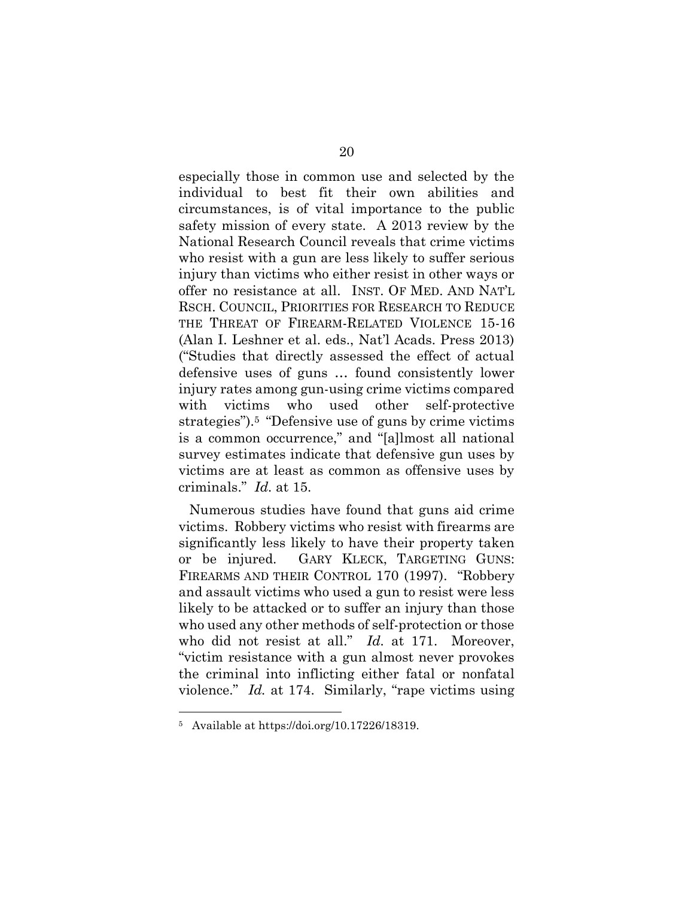especially those in common use and selected by the individual to best fit their own abilities and circumstances, is of vital importance to the public safety mission of every state. A 2013 review by the National Research Council reveals that crime victims who resist with a gun are less likely to suffer serious injury than victims who either resist in other ways or offer no resistance at all. INST. OF MED. AND NAT'L RSCH. COUNCIL, PRIORITIES FOR RESEARCH TO REDUCE THE THREAT OF FIREARM-RELATED VIOLENCE 15-16 (Alan I. Leshner et al. eds., Nat'l Acads. Press 2013) ("Studies that directly assessed the effect of actual defensive uses of guns … found consistently lower injury rates among gun-using crime victims compared with victims who used other self-protective strategies").<sup>5</sup> "Defensive use of guns by crime victims is a common occurrence," and "[a]lmost all national survey estimates indicate that defensive gun uses by victims are at least as common as offensive uses by criminals." Id. at 15.

Numerous studies have found that guns aid crime victims. Robbery victims who resist with firearms are significantly less likely to have their property taken or be injured. GARY KLECK, TARGETING GUNS: FIREARMS AND THEIR CONTROL 170 (1997). "Robbery and assault victims who used a gun to resist were less likely to be attacked or to suffer an injury than those who used any other methods of self-protection or those who did not resist at all." Id. at 171. Moreover, "victim resistance with a gun almost never provokes the criminal into inflicting either fatal or nonfatal violence." Id. at 174. Similarly, "rape victims using

<sup>5</sup> Available at https://doi.org/10.17226/18319.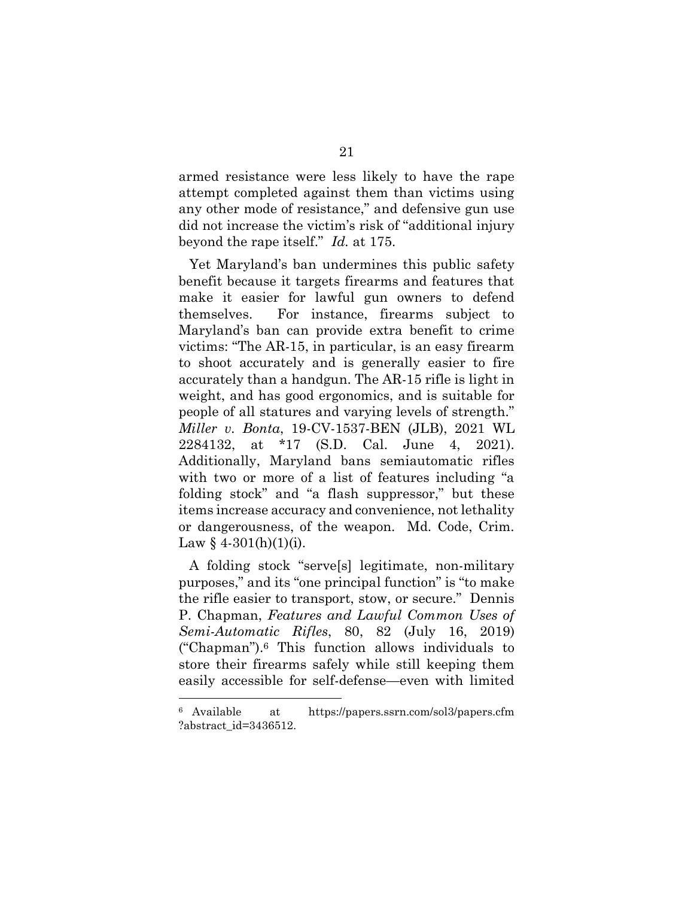armed resistance were less likely to have the rape attempt completed against them than victims using any other mode of resistance," and defensive gun use did not increase the victim's risk of "additional injury beyond the rape itself." Id. at 175.

Yet Maryland's ban undermines this public safety benefit because it targets firearms and features that make it easier for lawful gun owners to defend themselves. For instance, firearms subject to Maryland's ban can provide extra benefit to crime victims: "The AR-15, in particular, is an easy firearm to shoot accurately and is generally easier to fire accurately than a handgun. The AR-15 rifle is light in weight, and has good ergonomics, and is suitable for people of all statures and varying levels of strength." Miller v. Bonta, 19-CV-1537-BEN (JLB), 2021 WL 2284132, at \*17 (S.D. Cal. June 4, 2021). Additionally, Maryland bans semiautomatic rifles with two or more of a list of features including "a folding stock" and "a flash suppressor," but these items increase accuracy and convenience, not lethality or dangerousness, of the weapon. Md. Code, Crim. Law  $§$  4-301(h)(1)(i).

A folding stock "serve[s] legitimate, non-military purposes," and its "one principal function" is "to make the rifle easier to transport, stow, or secure." Dennis P. Chapman, Features and Lawful Common Uses of Semi-Automatic Rifles, 80, 82 (July 16, 2019) ("Chapman").6 This function allows individuals to store their firearms safely while still keeping them easily accessible for self-defense—even with limited

<sup>6</sup> Available at https://papers.ssrn.com/sol3/papers.cfm ?abstract\_id=3436512.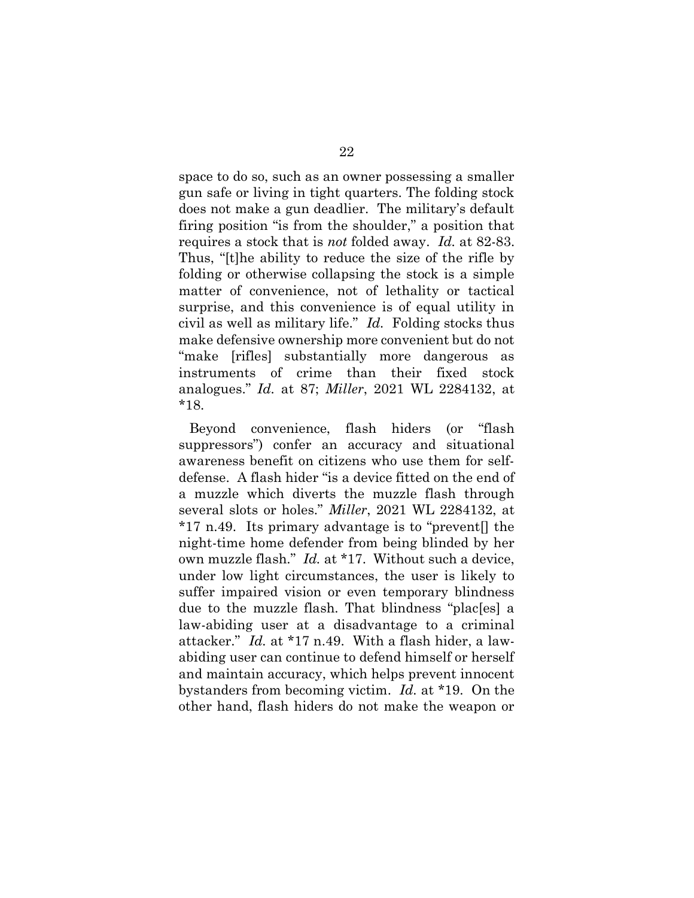space to do so, such as an owner possessing a smaller gun safe or living in tight quarters. The folding stock does not make a gun deadlier. The military's default firing position "is from the shoulder," a position that requires a stock that is not folded away. Id. at 82-83. Thus, "[t]he ability to reduce the size of the rifle by folding or otherwise collapsing the stock is a simple matter of convenience, not of lethality or tactical surprise, and this convenience is of equal utility in civil as well as military life." Id. Folding stocks thus make defensive ownership more convenient but do not "make [rifles] substantially more dangerous as instruments of crime than their fixed stock analogues." Id. at 87; Miller, 2021 WL 2284132, at \*18.

Beyond convenience, flash hiders (or "flash suppressors") confer an accuracy and situational awareness benefit on citizens who use them for selfdefense. A flash hider "is a device fitted on the end of a muzzle which diverts the muzzle flash through several slots or holes." Miller, 2021 WL 2284132, at \*17 n.49. Its primary advantage is to "prevent[] the night-time home defender from being blinded by her own muzzle flash." Id. at \*17. Without such a device, under low light circumstances, the user is likely to suffer impaired vision or even temporary blindness due to the muzzle flash. That blindness "plac[es] a law-abiding user at a disadvantage to a criminal attacker." Id. at \*17 n.49. With a flash hider, a lawabiding user can continue to defend himself or herself and maintain accuracy, which helps prevent innocent bystanders from becoming victim. Id. at \*19. On the other hand, flash hiders do not make the weapon or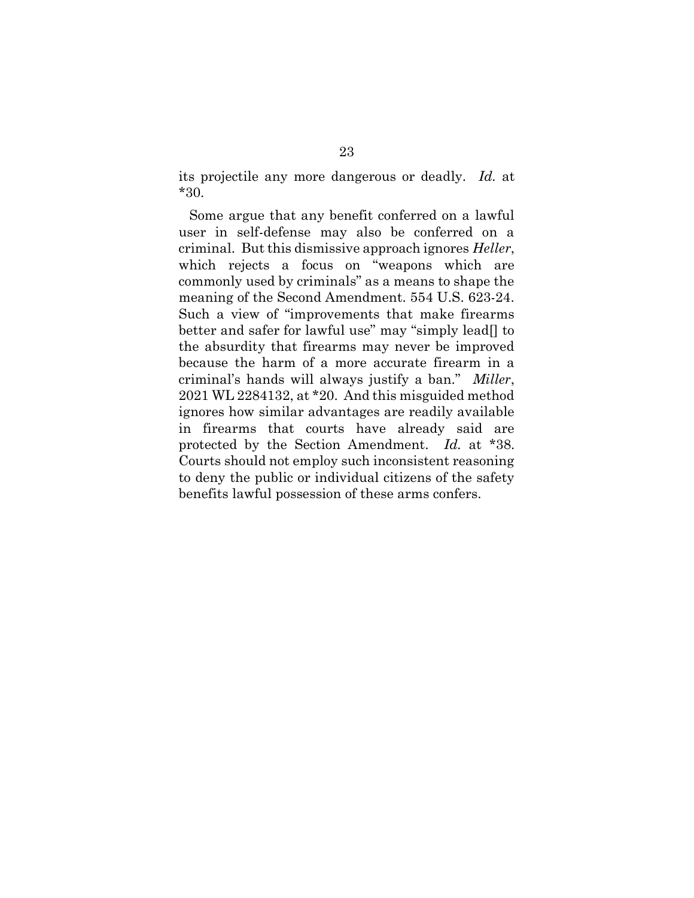its projectile any more dangerous or deadly. Id. at \*30.

Some argue that any benefit conferred on a lawful user in self-defense may also be conferred on a criminal. But this dismissive approach ignores Heller, which rejects a focus on "weapons which are commonly used by criminals" as a means to shape the meaning of the Second Amendment. 554 U.S. 623-24. Such a view of "improvements that make firearms better and safer for lawful use" may "simply lead[] to the absurdity that firearms may never be improved because the harm of a more accurate firearm in a criminal's hands will always justify a ban." Miller, 2021 WL 2284132, at \*20. And this misguided method ignores how similar advantages are readily available in firearms that courts have already said are protected by the Section Amendment. Id. at \*38. Courts should not employ such inconsistent reasoning to deny the public or individual citizens of the safety benefits lawful possession of these arms confers.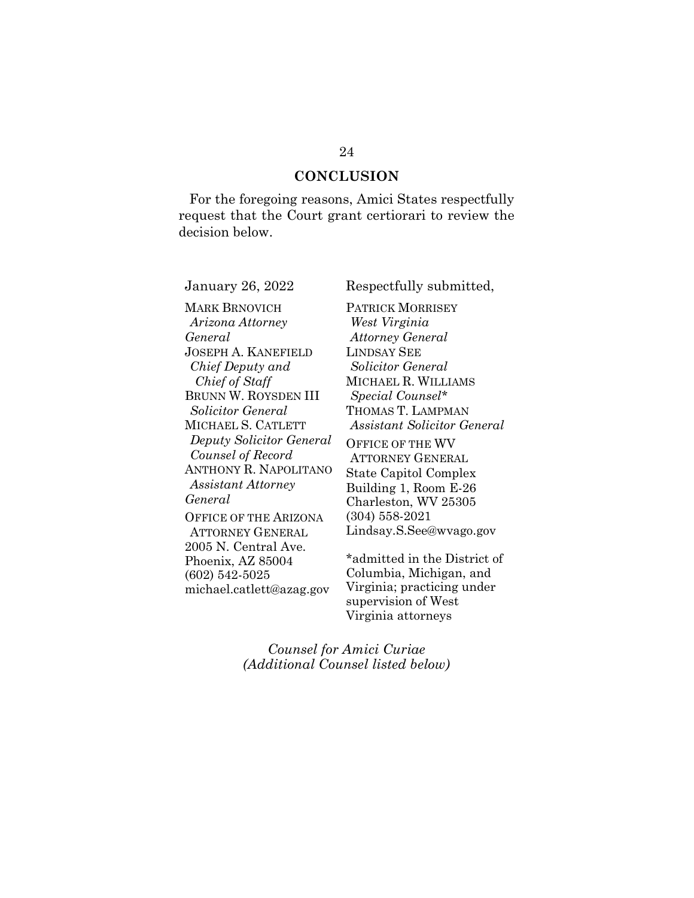## **CONCLUSION**

For the foregoing reasons, Amici States respectfully request that the Court grant certiorari to review the decision below.

MARK BRNOVICH Arizona Attorney General JOSEPH A. KANEFIELD Chief Deputy and Chief of Staff BRUNN W. ROYSDEN III Solicitor General MICHAEL S. CATLETT Deputy Solicitor General Counsel of Record ANTHONY R. NAPOLITANO Assistant Attorney General OFFICE OF THE ARIZONA ATTORNEY GENERAL 2005 N. Central Ave. Phoenix, AZ 85004 (602) 542-5025 michael.catlett@azag.gov

January 26, 2022 Respectfully submitted,

PATRICK MORRISEY West Virginia Attorney General LINDSAY SEE Solicitor General MICHAEL R. WILLIAMS Special Counsel\* THOMAS T. LAMPMAN Assistant Solicitor General

OFFICE OF THE WV ATTORNEY GENERAL State Capitol Complex Building 1, Room E-26 Charleston, WV 25305 (304) 558-2021 Lindsay.S.See@wvago.gov

\*admitted in the District of Columbia, Michigan, and Virginia; practicing under supervision of West Virginia attorneys

Counsel for Amici Curiae (Additional Counsel listed below)

#### 24